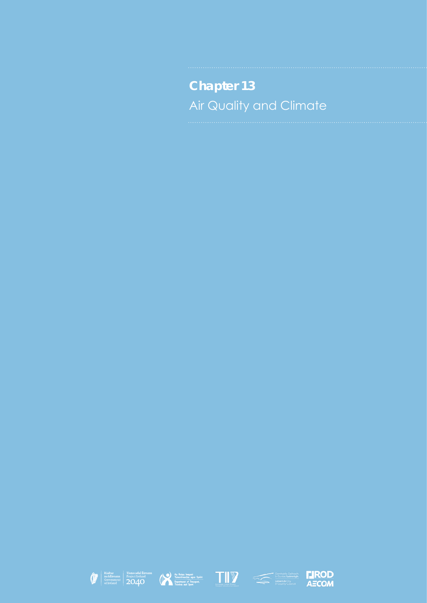**Chapter 13** Air Quality and Climate









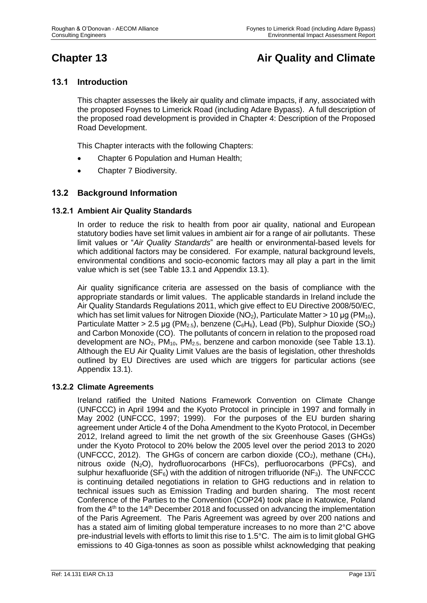# **Chapter 13 Air Quality and Climate**

# **13.1 Introduction**

This chapter assesses the likely air quality and climate impacts, if any, associated with the proposed Foynes to Limerick Road (including Adare Bypass). A full description of the proposed road development is provided in Chapter 4: Description of the Proposed Road Development.

This Chapter interacts with the following Chapters:

- Chapter 6 Population and Human Health;
- Chapter 7 Biodiversity.

# **13.2 Background Information**

# **13.2.1 Ambient Air Quality Standards**

In order to reduce the risk to health from poor air quality, national and European statutory bodies have set limit values in ambient air for a range of air pollutants. These limit values or "*Air Quality Standards*" are health or environmental-based levels for which additional factors may be considered. For example, natural background levels, environmental conditions and socio-economic factors may all play a part in the limit value which is set (see Table 13.1 and Appendix 13.1).

Air quality significance criteria are assessed on the basis of compliance with the appropriate standards or limit values. The applicable standards in Ireland include the Air Quality Standards Regulations 2011, which give effect to EU Directive 2008/50/EC, which has set limit values for Nitrogen Dioxide (NO<sub>2</sub>), Particulate Matter > 10 µg (PM<sub>10</sub>), Particulate Matter > 2.5 µg (PM<sub>2.5</sub>), benzene (C<sub>6</sub>H<sub>6</sub>), Lead (Pb), Sulphur Dioxide (SO<sub>2</sub>) and Carbon Monoxide (CO). The pollutants of concern in relation to the proposed road development are NO<sub>2</sub>, PM<sub>10</sub>, PM<sub>2.5</sub>, benzene and carbon monoxide (see Table 13.1). Although the EU Air Quality Limit Values are the basis of legislation, other thresholds outlined by EU Directives are used which are triggers for particular actions (see Appendix 13.1).

#### **13.2.2 Climate Agreements**

Ireland ratified the United Nations Framework Convention on Climate Change (UNFCCC) in April 1994 and the Kyoto Protocol in principle in 1997 and formally in May 2002 (UNFCCC, 1997; 1999). For the purposes of the EU burden sharing agreement under Article 4 of the Doha Amendment to the Kyoto Protocol, in December 2012, Ireland agreed to limit the net growth of the six Greenhouse Gases (GHGs) under the Kyoto Protocol to 20% below the 2005 level over the period 2013 to 2020 (UNFCCC, 2012). The GHGs of concern are carbon dioxide  $(CO_2)$ , methane  $(CH_4)$ , nitrous oxide (N2O), hydrofluorocarbons (HFCs), perfluorocarbons (PFCs), and sulphur hexafluoride ( $SF_6$ ) with the addition of nitrogen trifluoride ( $NF_3$ ). The UNFCCC is continuing detailed negotiations in relation to GHG reductions and in relation to technical issues such as Emission Trading and burden sharing. The most recent Conference of the Parties to the Convention (COP24) took place in Katowice, Poland from the  $4<sup>th</sup>$  to the 14<sup>th</sup> December 2018 and focussed on advancing the implementation of the Paris Agreement. The Paris Agreement was agreed by over 200 nations and has a stated aim of limiting global temperature increases to no more than 2°C above pre-industrial levels with efforts to limit this rise to 1.5°C. The aim is to limit global GHG emissions to 40 Giga-tonnes as soon as possible whilst acknowledging that peaking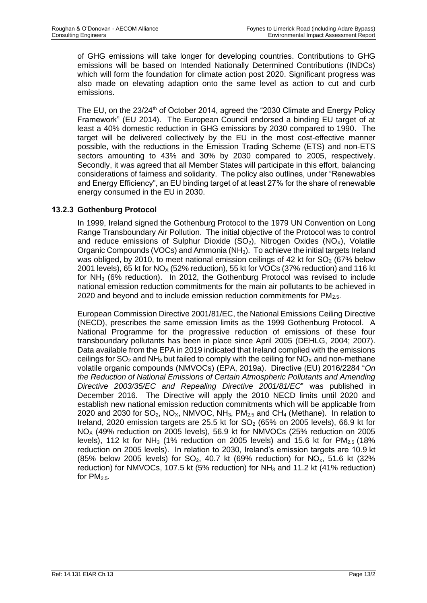of GHG emissions will take longer for developing countries. Contributions to GHG emissions will be based on Intended Nationally Determined Contributions (INDCs) which will form the foundation for climate action post 2020. Significant progress was also made on elevating adaption onto the same level as action to cut and curb emissions.

The EU, on the 23/24<sup>th</sup> of October 2014, agreed the "2030 Climate and Energy Policy Framework" (EU 2014). The European Council endorsed a binding EU target of at least a 40% domestic reduction in GHG emissions by 2030 compared to 1990. The target will be delivered collectively by the EU in the most cost-effective manner possible, with the reductions in the Emission Trading Scheme (ETS) and non-ETS sectors amounting to 43% and 30% by 2030 compared to 2005, respectively. Secondly, it was agreed that all Member States will participate in this effort, balancing considerations of fairness and solidarity. The policy also outlines, under "Renewables and Energy Efficiency", an EU binding target of at least 27% for the share of renewable energy consumed in the EU in 2030.

# **13.2.3 Gothenburg Protocol**

In 1999, Ireland signed the Gothenburg Protocol to the 1979 UN Convention on Long Range Transboundary Air Pollution. The initial objective of the Protocol was to control and reduce emissions of Sulphur Dioxide  $(SO_2)$ , Nitrogen Oxides  $(NO<sub>X</sub>)$ , Volatile Organic Compounds (VOCs) and Ammonia (NH<sub>3</sub>). To achieve the initial targets Ireland was obliged, by 2010, to meet national emission ceilings of 42 kt for  $SO<sub>2</sub>$  (67% below 2001 levels), 65 kt for  $NO_x$  (52% reduction), 55 kt for VOCs (37% reduction) and 116 kt for NH<sup>3</sup> (6% reduction). In 2012, the Gothenburg Protocol was revised to include national emission reduction commitments for the main air pollutants to be achieved in 2020 and beyond and to include emission reduction commitments for  $PM<sub>2.5</sub>$ .

European Commission Directive 2001/81/EC, the National Emissions Ceiling Directive (NECD), prescribes the same emission limits as the 1999 Gothenburg Protocol. A National Programme for the progressive reduction of emissions of these four transboundary pollutants has been in place since April 2005 (DEHLG, 2004; 2007). Data available from the EPA in 2019 indicated that Ireland complied with the emissions ceilings for  $SO_2$  and NH<sub>3</sub> but failed to comply with the ceiling for  $NO_\chi$  and non-methane volatile organic compounds (NMVOCs) (EPA, 2019a). Directive (EU) 2016/2284 "*On the Reduction of National Emissions of Certain Atmospheric Pollutants and Amending Directive 2003/35/EC and Repealing Directive 2001/81/EC*" was published in December 2016. The Directive will apply the 2010 NECD limits until 2020 and establish new national emission reduction commitments which will be applicable from 2020 and 2030 for  $SO_2$ , NO<sub>X</sub>, NMVOC, NH<sub>3</sub>, PM<sub>2.5</sub> and CH<sub>4</sub> (Methane). In relation to Ireland, 2020 emission targets are 25.5 kt for  $SO<sub>2</sub>$  (65% on 2005 levels), 66.9 kt for  $NO<sub>X</sub>$  (49% reduction on 2005 levels), 56.9 kt for NMVOCs (25% reduction on 2005 levels), 112 kt for NH<sub>3</sub> (1% reduction on 2005 levels) and 15.6 kt for  $PM_{2.5}$  (18% reduction on 2005 levels). In relation to 2030, Ireland's emission targets are 10.9 kt (85% below 2005 levels) for  $SO_2$ , 40.7 kt (69% reduction) for  $NO_x$ , 51.6 kt (32% reduction) for NMVOCs, 107.5 kt (5% reduction) for NH<sub>3</sub> and 11.2 kt (41% reduction) for  $PM_{2.5}$ .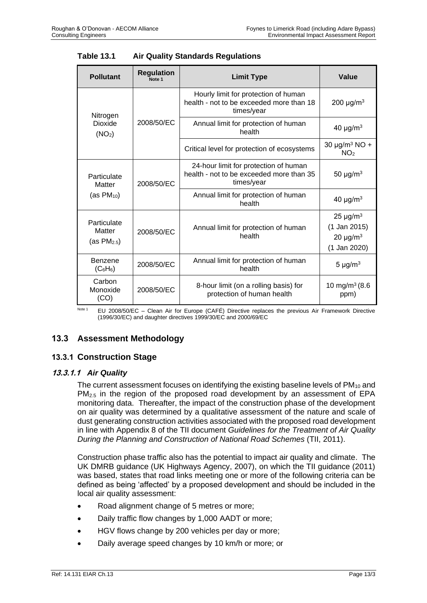| <b>Pollutant</b>                       | <b>Regulation</b><br>Note 1 | <b>Limit Type</b>                                                                               | Value                                                              |
|----------------------------------------|-----------------------------|-------------------------------------------------------------------------------------------------|--------------------------------------------------------------------|
| Nitrogen                               |                             | Hourly limit for protection of human<br>health - not to be exceeded more than 18<br>times/year  | 200 $\mu$ g/m <sup>3</sup>                                         |
| Dioxide<br>(NO <sub>2</sub> )          | 2008/50/EC                  | Annual limit for protection of human<br>health                                                  | 40 $\mu$ g/m <sup>3</sup>                                          |
|                                        |                             | Critical level for protection of ecosystems                                                     | 30 $\mu$ g/m <sup>3</sup> NO +<br>NO <sub>2</sub>                  |
| Particulate<br>Matter                  | 2008/50/EC                  | 24-hour limit for protection of human<br>health - not to be exceeded more than 35<br>times/year | 50 $\mu$ g/m <sup>3</sup>                                          |
| (as $PM_{10}$ )                        |                             | Annual limit for protection of human<br>health                                                  | 40 $\mu$ g/m <sup>3</sup>                                          |
| Particulate<br>Matter<br>(as $PM2.5$ ) | 2008/50/EC                  | Annual limit for protection of human<br>health                                                  | $25 \mu g/m^3$<br>$(1$ Jan 2015)<br>$20 \mu g/m^3$<br>(1 Jan 2020) |
| Benzene<br>$(C_6H_6)$                  | 2008/50/EC                  | Annual limit for protection of human<br>health                                                  | 5 $\mu$ g/m <sup>3</sup>                                           |
| Carbon<br>Monoxide<br>(CO)             | 2008/50/EC                  | 8-hour limit (on a rolling basis) for<br>protection of human health                             | 10 mg/m <sup>3</sup> (8.6)<br>ppm)                                 |

Note 1 EU 2008/50/EC - Clean Air for Europe (CAFÉ) Directive replaces the previous Air Framework Directive (1996/30/EC) and daughter directives 1999/30/EC and 2000/69/EC

# **13.3 Assessment Methodology**

# **13.3.1 Construction Stage**

# **13.3.1.1** *Air Quality*

The current assessment focuses on identifying the existing baseline levels of  $PM_{10}$  and PM<sub>2.5</sub> in the region of the proposed road development by an assessment of EPA monitoring data. Thereafter, the impact of the construction phase of the development on air quality was determined by a qualitative assessment of the nature and scale of dust generating construction activities associated with the proposed road development in line with Appendix 8 of the TII document *Guidelines for the Treatment of Air Quality During the Planning and Construction of National Road Schemes* (TII, 2011).

Construction phase traffic also has the potential to impact air quality and climate. The UK DMRB guidance (UK Highways Agency, 2007), on which the TII guidance (2011) was based, states that road links meeting one or more of the following criteria can be defined as being 'affected' by a proposed development and should be included in the local air quality assessment:

- Road alignment change of 5 metres or more;
- Daily traffic flow changes by 1,000 AADT or more;
- HGV flows change by 200 vehicles per day or more;
- Daily average speed changes by 10 km/h or more; or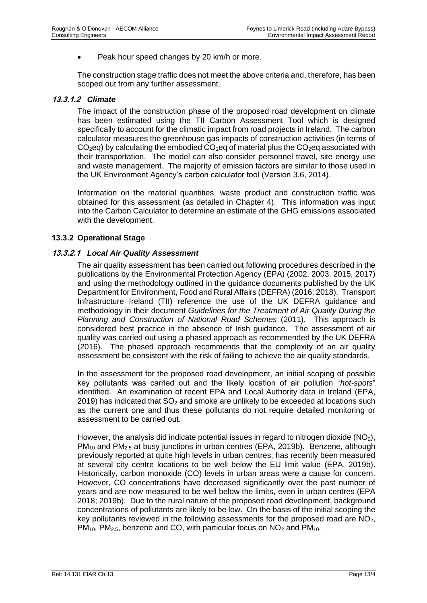• Peak hour speed changes by 20 km/h or more.

The construction stage traffic does not meet the above criteria and, therefore, has been scoped out from any further assessment.

#### **13.3.1.2** *Climate*

The impact of the construction phase of the proposed road development on climate has been estimated using the TII Carbon Assessment Tool which is designed specifically to account for the climatic impact from road projects in Ireland. The carbon calculator measures the greenhouse gas impacts of construction activities (in terms of  $CO<sub>2</sub>$ eq) by calculating the embodied  $CO<sub>2</sub>$ eq of material plus the  $CO<sub>2</sub>$ eq associated with their transportation. The model can also consider personnel travel, site energy use and waste management. The majority of emission factors are similar to those used in the UK Environment Agency's carbon calculator tool (Version 3.6, 2014).

Information on the material quantities, waste product and construction traffic was obtained for this assessment (as detailed in Chapter 4). This information was input into the Carbon Calculator to determine an estimate of the GHG emissions associated with the development.

#### **13.3.2 Operational Stage**

#### **13.3.2.1** *Local Air Quality Assessment*

The air quality assessment has been carried out following procedures described in the publications by the Environmental Protection Agency (EPA) (2002, 2003, 2015, 2017) and using the methodology outlined in the guidance documents published by the UK Department for Environment, Food and Rural Affairs (DEFRA) (2016; 2018). Transport Infrastructure Ireland (TII) reference the use of the UK DEFRA guidance and methodology in their document *Guidelines for the Treatment of Air Quality During the Planning and Construction of National Road Schemes* (2011). This approach is considered best practice in the absence of Irish guidance. The assessment of air quality was carried out using a phased approach as recommended by the UK DEFRA (2016). The phased approach recommends that the complexity of an air quality assessment be consistent with the risk of failing to achieve the air quality standards.

In the assessment for the proposed road development, an initial scoping of possible key pollutants was carried out and the likely location of air pollution "*hot-spots*" identified. An examination of recent EPA and Local Authority data in Ireland (EPA, 2019) has indicated that  $SO<sub>2</sub>$  and smoke are unlikely to be exceeded at locations such as the current one and thus these pollutants do not require detailed monitoring or assessment to be carried out.

However, the analysis did indicate potential issues in regard to nitrogen dioxide  $(NO<sub>2</sub>)$ , PM<sub>10</sub> and PM<sub>2.5</sub> at busy junctions in urban centres (EPA, 2019b). Benzene, although previously reported at quite high levels in urban centres, has recently been measured at several city centre locations to be well below the EU limit value (EPA, 2019b). Historically, carbon monoxide (CO) levels in urban areas were a cause for concern. However, CO concentrations have decreased significantly over the past number of years and are now measured to be well below the limits, even in urban centres (EPA 2018; 2019b). Due to the rural nature of the proposed road development, background concentrations of pollutants are likely to be low. On the basis of the initial scoping the key pollutants reviewed in the following assessments for the proposed road are  $NO<sub>2</sub>$ ,  $PM_{10}$ , PM<sub>2.5</sub>, benzene and CO, with particular focus on  $NO<sub>2</sub>$  and PM<sub>10</sub>.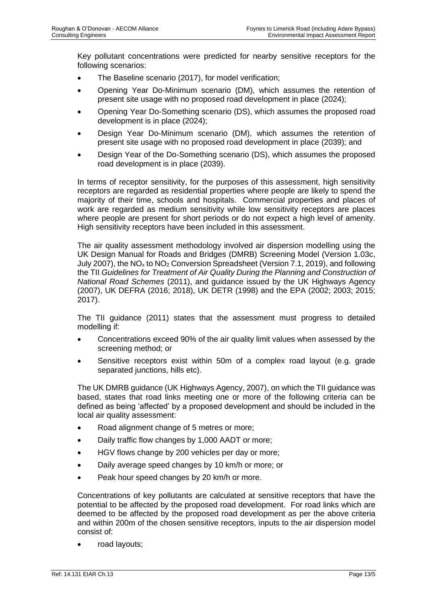Key pollutant concentrations were predicted for nearby sensitive receptors for the following scenarios:

- The Baseline scenario (2017), for model verification;
- Opening Year Do-Minimum scenario (DM), which assumes the retention of present site usage with no proposed road development in place (2024);
- Opening Year Do-Something scenario (DS), which assumes the proposed road development is in place (2024);
- Design Year Do-Minimum scenario (DM), which assumes the retention of present site usage with no proposed road development in place (2039); and
- Design Year of the Do-Something scenario (DS), which assumes the proposed road development is in place (2039).

In terms of receptor sensitivity, for the purposes of this assessment, high sensitivity receptors are regarded as residential properties where people are likely to spend the majority of their time, schools and hospitals. Commercial properties and places of work are regarded as medium sensitivity while low sensitivity receptors are places where people are present for short periods or do not expect a high level of amenity. High sensitivity receptors have been included in this assessment.

The air quality assessment methodology involved air dispersion modelling using the UK Design Manual for Roads and Bridges (DMRB) Screening Model (Version 1.03c, July 2007), the  $NO<sub>x</sub>$  to  $NO<sub>2</sub>$  Conversion Spreadsheet (Version 7.1, 2019), and following the TII *Guidelines for Treatment of Air Quality During the Planning and Construction of National Road Schemes* (2011), and guidance issued by the UK Highways Agency (2007), UK DEFRA (2016; 2018), UK DETR (1998) and the EPA (2002; 2003; 2015; 2017).

The TII guidance (2011) states that the assessment must progress to detailed modelling if:

- Concentrations exceed 90% of the air quality limit values when assessed by the screening method; or
- Sensitive receptors exist within 50m of a complex road layout (e.g. grade separated junctions, hills etc).

The UK DMRB guidance (UK Highways Agency, 2007), on which the TII guidance was based, states that road links meeting one or more of the following criteria can be defined as being 'affected' by a proposed development and should be included in the local air quality assessment:

- Road alignment change of 5 metres or more;
- Daily traffic flow changes by 1,000 AADT or more;
- HGV flows change by 200 vehicles per day or more;
- Daily average speed changes by 10 km/h or more; or
- Peak hour speed changes by 20 km/h or more.

Concentrations of key pollutants are calculated at sensitive receptors that have the potential to be affected by the proposed road development. For road links which are deemed to be affected by the proposed road development as per the above criteria and within 200m of the chosen sensitive receptors, inputs to the air dispersion model consist of:

• road layouts;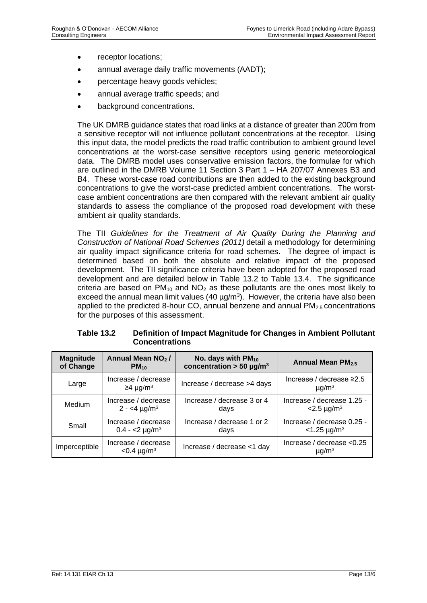- receptor locations;
- annual average daily traffic movements (AADT);
- percentage heavy goods vehicles;
- annual average traffic speeds; and
- background concentrations.

The UK DMRB guidance states that road links at a distance of greater than 200m from a sensitive receptor will not influence pollutant concentrations at the receptor. Using this input data, the model predicts the road traffic contribution to ambient ground level concentrations at the worst-case sensitive receptors using generic meteorological data. The DMRB model uses conservative emission factors, the formulae for which are outlined in the DMRB Volume 11 Section 3 Part 1 – HA 207/07 Annexes B3 and B4. These worst-case road contributions are then added to the existing background concentrations to give the worst-case predicted ambient concentrations. The worstcase ambient concentrations are then compared with the relevant ambient air quality standards to assess the compliance of the proposed road development with these ambient air quality standards.

The TII *Guidelines for the Treatment of Air Quality During the Planning and Construction of National Road Schemes (2011)* detail a methodology for determining air quality impact significance criteria for road schemes. The degree of impact is determined based on both the absolute and relative impact of the proposed development. The TII significance criteria have been adopted for the proposed road development and are detailed below in Table 13.2 to Table 13.4. The significance criteria are based on  $PM_{10}$  and  $NO<sub>2</sub>$  as these pollutants are the ones most likely to exceed the annual mean limit values (40  $\mu$ g/m<sup>3</sup>). However, the criteria have also been applied to the predicted 8-hour CO, annual benzene and annual PM<sub>2.5</sub> concentrations for the purposes of this assessment.

| Table 13.2 | Definition of Impact Magnitude for Changes in Ambient Pollutant |
|------------|-----------------------------------------------------------------|
|            | <b>Concentrations</b>                                           |
|            |                                                                 |

| <b>Magnitude</b> | Annual Mean NO <sub>2</sub> /                     | No. days with $PM_{10}$                | <b>Annual Mean PM2.5</b>                                 |
|------------------|---------------------------------------------------|----------------------------------------|----------------------------------------------------------|
| of Change        | $PM_{10}$                                         | concentration $>$ 50 µg/m <sup>3</sup> |                                                          |
| Large            | Increase / decrease<br>$\geq$ 4 µg/m <sup>3</sup> | Increase / decrease >4 days            | Increase / decrease $\geq$ 2.5<br>$\mu$ g/m <sup>3</sup> |
| Medium           | Increase / decrease                               | Increase / decrease 3 or 4             | Increase / decrease 1.25 -                               |
|                  | $2 - 4 \mu g/m^3$                                 | days                                   | $<$ 2.5 µg/m <sup>3</sup>                                |
| Small            | Increase / decrease                               | Increase / decrease 1 or 2             | Increase / decrease 0.25 -                               |
|                  | $0.4 - 2 \mu g/m^3$                               | days                                   | $<$ 1.25 µg/m <sup>3</sup>                               |
| Imperceptible    | Increase / decrease<br>$< 0.4 \mu g/m^3$          | Increase / decrease <1 day             | Increase / decrease $< 0.25$<br>$\mu$ g/m <sup>3</sup>   |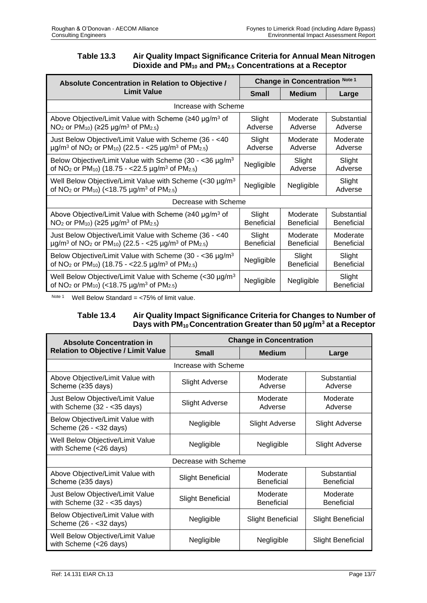# **Table 13.3 Air Quality Impact Significance Criteria for Annual Mean Nitrogen Dioxide and PM<sup>10</sup> and PM2.5 Concentrations at a Receptor**

| Absolute Concentration in Relation to Objective /                                                                                                                              | <b>Change in Concentration Note 1</b> |                   |                             |  |
|--------------------------------------------------------------------------------------------------------------------------------------------------------------------------------|---------------------------------------|-------------------|-----------------------------|--|
| Limit Value                                                                                                                                                                    | <b>Small</b>                          | <b>Medium</b>     | Large                       |  |
| Increase with Scheme                                                                                                                                                           |                                       |                   |                             |  |
| Above Objective/Limit Value with Scheme ( $\geq 40 \mu g/m^3$ of                                                                                                               | Slight                                | Moderate          | Substantial                 |  |
| NO <sub>2</sub> or PM <sub>10</sub> ) ( $\geq$ 25 µg/m <sup>3</sup> of PM <sub>2.5</sub> )                                                                                     | Adverse                               | Adverse           | Adverse                     |  |
| Just Below Objective/Limit Value with Scheme (36 - <40                                                                                                                         | Slight                                | Moderate          | Moderate                    |  |
| $\mu$ g/m <sup>3</sup> of NO <sub>2</sub> or PM <sub>10</sub> ) (22.5 - <25 $\mu$ g/m <sup>3</sup> of PM <sub>2.5</sub> )                                                      | Adverse                               | Adverse           | Adverse                     |  |
| Below Objective/Limit Value with Scheme (30 - <36 $\mu$ g/m <sup>3</sup>                                                                                                       | Negligible                            | Slight            | Slight                      |  |
| of NO <sub>2</sub> or PM <sub>10</sub> ) (18.75 - <22.5 µg/m <sup>3</sup> of PM <sub>2.5</sub> )                                                                               |                                       | Adverse           | Adverse                     |  |
| Well Below Objective/Limit Value with Scheme (<30 $\mu$ g/m <sup>3</sup><br>of NO <sub>2</sub> or PM <sub>10</sub> ) (<18.75 $\mu$ g/m <sup>3</sup> of PM <sub>2.5</sub> )     | Negligible                            | Negligible        | Slight<br>Adverse           |  |
| Decrease with Scheme                                                                                                                                                           |                                       |                   |                             |  |
| Above Objective/Limit Value with Scheme ( $\geq 40 \mu g/m^3$ of                                                                                                               | Slight                                | Moderate          | Substantial                 |  |
| NO <sub>2</sub> or PM <sub>10</sub> ) ( $\geq$ 25 µg/m <sup>3</sup> of PM <sub>2.5</sub> )                                                                                     | <b>Beneficial</b>                     | <b>Beneficial</b> | <b>Beneficial</b>           |  |
| Just Below Objective/Limit Value with Scheme (36 - <40                                                                                                                         | Slight                                | Moderate          | Moderate                    |  |
| $\mu$ g/m <sup>3</sup> of NO <sub>2</sub> or PM <sub>10</sub> ) (22.5 - <25 $\mu$ g/m <sup>3</sup> of PM <sub>2.5</sub> )                                                      | <b>Beneficial</b>                     | <b>Beneficial</b> | <b>Beneficial</b>           |  |
| Below Objective/Limit Value with Scheme (30 - <36 $\mu$ g/m <sup>3</sup>                                                                                                       | Negligible                            | Slight            | Slight                      |  |
| of NO <sub>2</sub> or PM <sub>10</sub> ) (18.75 - <22.5 µg/m <sup>3</sup> of PM <sub>2.5</sub> )                                                                               |                                       | <b>Beneficial</b> | <b>Beneficial</b>           |  |
| Well Below Objective/Limit Value with Scheme $\left($ < 30 $\mu$ g/m <sup>3</sup><br>of NO <sub>2</sub> or PM <sub>10</sub> ) (<18.75 µg/m <sup>3</sup> of PM <sub>2.5</sub> ) | Negligible                            | Negligible        | Slight<br><b>Beneficial</b> |  |

Note 1 Well Below Standard =  $<$ 75% of limit value.

# **Table 13.4 Air Quality Impact Significance Criteria for Changes to Number of Days with PM10 Concentration Greater than 50 µg/m<sup>3</sup> at a Receptor**

| <b>Absolute Concentration in</b>                                         | <b>Change in Concentration</b> |                               |                                  |  |  |  |
|--------------------------------------------------------------------------|--------------------------------|-------------------------------|----------------------------------|--|--|--|
| <b>Relation to Objective / Limit Value</b>                               | <b>Small</b>                   | <b>Medium</b>                 | Large                            |  |  |  |
|                                                                          | Increase with Scheme           |                               |                                  |  |  |  |
| Above Objective/Limit Value with<br>Scheme (≥35 days)                    | <b>Slight Adverse</b>          | Moderate<br>Adverse           | Substantial<br>Adverse           |  |  |  |
| Just Below Objective/Limit Value<br>with Scheme $(32 - 35 \text{ days})$ | <b>Slight Adverse</b>          | Moderate<br>Adverse           | Moderate<br>Adverse              |  |  |  |
| Below Objective/Limit Value with<br>Scheme (26 - < 32 days)              | Negligible                     | <b>Slight Adverse</b>         | <b>Slight Adverse</b>            |  |  |  |
| Well Below Objective/Limit Value<br>with Scheme (<26 days)               | Negligible                     | Negligible                    | <b>Slight Adverse</b>            |  |  |  |
|                                                                          | Decrease with Scheme           |                               |                                  |  |  |  |
| Above Objective/Limit Value with<br>Scheme (≥35 days)                    | <b>Slight Beneficial</b>       | Moderate<br><b>Beneficial</b> | Substantial<br><b>Beneficial</b> |  |  |  |
| Just Below Objective/Limit Value<br>with Scheme $(32 - 35 \text{ days})$ | <b>Slight Beneficial</b>       | Moderate<br><b>Beneficial</b> | Moderate<br>Beneficial           |  |  |  |
| Below Objective/Limit Value with<br>Scheme (26 - < 32 days)              | Negligible                     | <b>Slight Beneficial</b>      | <b>Slight Beneficial</b>         |  |  |  |
| Well Below Objective/Limit Value<br>with Scheme (<26 days)               | Negligible                     | Negligible                    | <b>Slight Beneficial</b>         |  |  |  |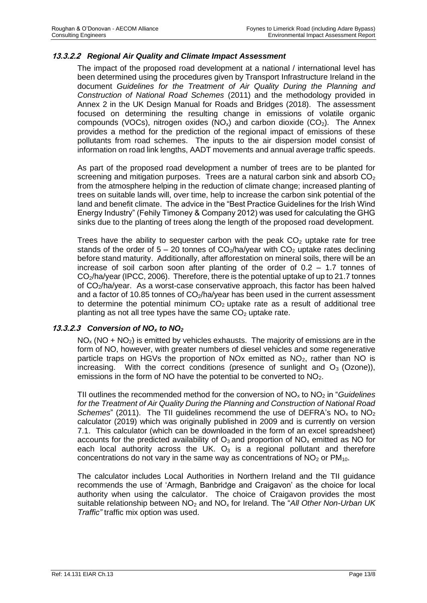# **13.3.2.2** *Regional Air Quality and Climate Impact Assessment*

The impact of the proposed road development at a national / international level has been determined using the procedures given by Transport Infrastructure Ireland in the document *Guidelines for the Treatment of Air Quality During the Planning and Construction of National Road Schemes* (2011) and the methodology provided in Annex 2 in the UK Design Manual for Roads and Bridges (2018). The assessment focused on determining the resulting change in emissions of volatile organic compounds (VOCs), nitrogen oxides (NO<sub>x</sub>) and carbon dioxide (CO<sub>2</sub>). The Annex provides a method for the prediction of the regional impact of emissions of these pollutants from road schemes. The inputs to the air dispersion model consist of information on road link lengths, AADT movements and annual average traffic speeds.

As part of the proposed road development a number of trees are to be planted for screening and mitigation purposes. Trees are a natural carbon sink and absorb  $CO<sub>2</sub>$ from the atmosphere helping in the reduction of climate change; increased planting of trees on suitable lands will, over time, help to increase the carbon sink potential of the land and benefit climate. The advice in the "Best Practice Guidelines for the Irish Wind Energy Industry" (Fehily Timoney & Company 2012) was used for calculating the GHG sinks due to the planting of trees along the length of the proposed road development.

Trees have the ability to sequester carbon with the peak  $CO<sub>2</sub>$  uptake rate for tree stands of the order of  $5 - 20$  tonnes of  $CO<sub>2</sub>/ha/year$  with  $CO<sub>2</sub>$  uptake rates declining before stand maturity. Additionally, after afforestation on mineral soils, there will be an increase of soil carbon soon after planting of the order of 0.2 – 1.7 tonnes of CO2/ha/year (IPCC, 2006). Therefore, there is the potential uptake of up to 21.7 tonnes of CO2/ha/year. As a worst-case conservative approach, this factor has been halved and a factor of 10.85 tonnes of  $CO<sub>2</sub>/ha/year$  has been used in the current assessment to determine the potential minimum  $CO<sub>2</sub>$  uptake rate as a result of additional tree planting as not all tree types have the same  $CO<sub>2</sub>$  uptake rate.

#### **13.3.2.3** *Conversion of NO<sup>x</sup> to NO<sup>2</sup>*

 $NO<sub>x</sub>$  (NO + NO<sub>2</sub>) is emitted by vehicles exhausts. The majority of emissions are in the form of NO, however, with greater numbers of diesel vehicles and some regenerative particle traps on HGVs the proportion of NOx emitted as  $NO<sub>2</sub>$ , rather than NO is increasing. With the correct conditions (presence of sunlight and  $O_3$  (Ozone)), emissions in the form of NO have the potential to be converted to  $NO<sub>2</sub>$ .

TII outlines the recommended method for the conversion of NO<sup>x</sup> to NO<sup>2</sup> in "*Guidelines for the Treatment of Air Quality During the Planning and Construction of National Road Schemes*" (2011). The TII guidelines recommend the use of DEFRA's  $NO<sub>x</sub>$  to  $NO<sub>2</sub>$ calculator (2019) which was originally published in 2009 and is currently on version 7.1. This calculator (which can be downloaded in the form of an excel spreadsheet) accounts for the predicted availability of  $O_3$  and proportion of  $NO_x$  emitted as NO for each local authority across the UK.  $O_3$  is a regional pollutant and therefore concentrations do not vary in the same way as concentrations of  $NO<sub>2</sub>$  or  $PM<sub>10</sub>$ .

The calculator includes Local Authorities in Northern Ireland and the TII guidance recommends the use of 'Armagh, Banbridge and Craigavon' as the choice for local authority when using the calculator. The choice of Craigavon provides the most suitable relationship between NO<sub>2</sub> and NO<sub>x</sub> for Ireland. The "All Other Non-Urban UK *Traffic"* traffic mix option was used.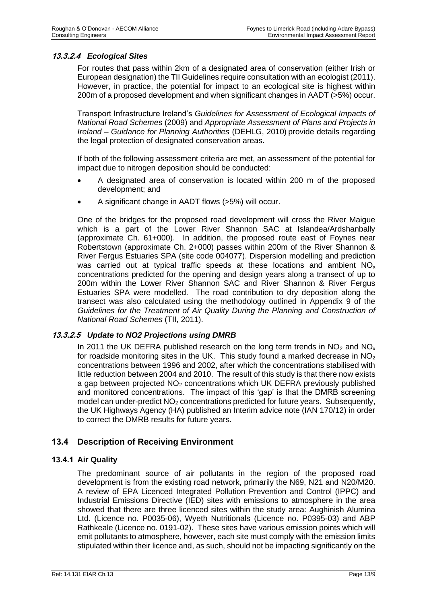# **13.3.2.4** *Ecological Sites*

For routes that pass within 2km of a designated area of conservation (either Irish or European designation) the TII Guidelines require consultation with an ecologist (2011). However, in practice, the potential for impact to an ecological site is highest within 200m of a proposed development and when significant changes in AADT (>5%) occur.

Transport Infrastructure Ireland's *Guidelines for Assessment of Ecological Impacts of National Road Scheme*s (2009) and *Appropriate Assessment of Plans and Projects in Ireland – Guidance for Planning Authorities* (DEHLG, 2010) provide details regarding the legal protection of designated conservation areas.

If both of the following assessment criteria are met, an assessment of the potential for impact due to nitrogen deposition should be conducted:

- A designated area of conservation is located within 200 m of the proposed development; and
- A significant change in AADT flows (>5%) will occur.

One of the bridges for the proposed road development will cross the River Maigue which is a part of the Lower River Shannon SAC at Islandea/Ardshanbally (approximate Ch. 61+000). In addition, the proposed route east of Foynes near Robertstown (approximate Ch. 2+000) passes within 200m of the River Shannon & River Fergus Estuaries SPA (site code 004077). Dispersion modelling and prediction was carried out at typical traffic speeds at these locations and ambient  $NO<sub>x</sub>$ concentrations predicted for the opening and design years along a transect of up to 200m within the Lower River Shannon SAC and River Shannon & River Fergus Estuaries SPA were modelled. The road contribution to dry deposition along the transect was also calculated using the methodology outlined in Appendix 9 of the *Guidelines for the Treatment of Air Quality During the Planning and Construction of National Road Schemes* (TII, 2011).

#### **13.3.2.5** *Update to NO2 Projections using DMRB*

In 2011 the UK DEFRA published research on the long term trends in  $NO<sub>2</sub>$  and  $NO<sub>x</sub>$ for roadside monitoring sites in the UK. This study found a marked decrease in  $NO<sub>2</sub>$ concentrations between 1996 and 2002, after which the concentrations stabilised with little reduction between 2004 and 2010. The result of this study is that there now exists a gap between projected  $NO<sub>2</sub>$  concentrations which UK DEFRA previously published and monitored concentrations. The impact of this 'gap' is that the DMRB screening model can under-predict NO<sub>2</sub> concentrations predicted for future years. Subsequently, the UK Highways Agency (HA) published an Interim advice note (IAN 170/12) in order to correct the DMRB results for future years.

# **13.4 Description of Receiving Environment**

#### **13.4.1 Air Quality**

The predominant source of air pollutants in the region of the proposed road development is from the existing road network, primarily the N69, N21 and N20/M20. A review of EPA Licenced Integrated Pollution Prevention and Control (IPPC) and Industrial Emissions Directive (IED) sites with emissions to atmosphere in the area showed that there are three licenced sites within the study area: Aughinish Alumina Ltd. (Licence no. P0035-06), Wyeth Nutritionals (Licence no. P0395-03) and ABP Rathkeale (Licence no. 0191-02). These sites have various emission points which will emit pollutants to atmosphere, however, each site must comply with the emission limits stipulated within their licence and, as such, should not be impacting significantly on the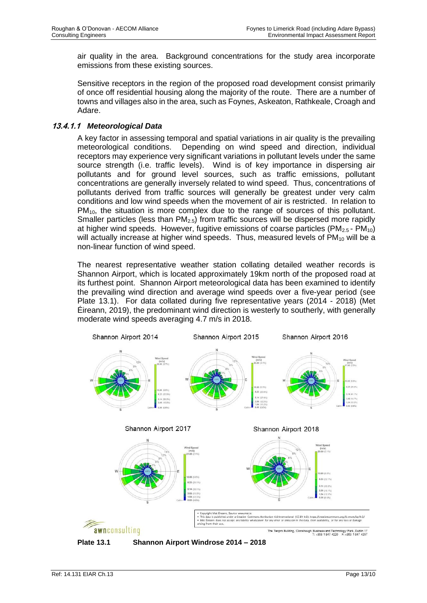air quality in the area. Background concentrations for the study area incorporate emissions from these existing sources.

Sensitive receptors in the region of the proposed road development consist primarily of once off residential housing along the majority of the route. There are a number of towns and villages also in the area, such as Foynes, Askeaton, Rathkeale, Croagh and Adare.

## **13.4.1.1** *Meteorological Data*

A key factor in assessing temporal and spatial variations in air quality is the prevailing meteorological conditions. Depending on wind speed and direction, individual receptors may experience very significant variations in pollutant levels under the same source strength (i.e. traffic levels). Wind is of key importance in dispersing air pollutants and for ground level sources, such as traffic emissions, pollutant concentrations are generally inversely related to wind speed. Thus, concentrations of pollutants derived from traffic sources will generally be greatest under very calm conditions and low wind speeds when the movement of air is restricted. In relation to  $PM_{10}$ , the situation is more complex due to the range of sources of this pollutant. Smaller particles (less than  $PM<sub>2.5</sub>$ ) from traffic sources will be dispersed more rapidly at higher wind speeds. However, fugitive emissions of coarse particles ( $PM_{2.5}$  -  $PM_{10}$ ) will actually increase at higher wind speeds. Thus, measured levels of  $PM_{10}$  will be a non-linear function of wind speed.

The nearest representative weather station collating detailed weather records is Shannon Airport, which is located approximately 19km north of the proposed road at its furthest point. Shannon Airport meteorological data has been examined to identify the prevailing wind direction and average wind speeds over a five-year period (see Plate 13.1). For data collated during five representative years (2014 - 2018) (Met Éireann, 2019), the predominant wind direction is westerly to southerly, with generally moderate wind speeds averaging 4.7 m/s in 2018.



**Plate 13.1 Shannon Airport Windrose 2014 – 2018**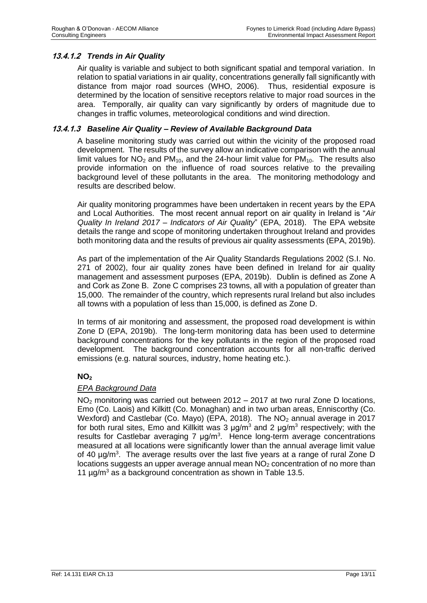# **13.4.1.2** *Trends in Air Quality*

Air quality is variable and subject to both significant spatial and temporal variation. In relation to spatial variations in air quality, concentrations generally fall significantly with distance from major road sources (WHO, 2006). Thus, residential exposure is determined by the location of sensitive receptors relative to major road sources in the area. Temporally, air quality can vary significantly by orders of magnitude due to changes in traffic volumes, meteorological conditions and wind direction.

#### **13.4.1.3** *Baseline Air Quality – Review of Available Background Data*

A baseline monitoring study was carried out within the vicinity of the proposed road development. The results of the survey allow an indicative comparison with the annual limit values for  $NO<sub>2</sub>$  and PM<sub>10</sub>, and the 24-hour limit value for PM<sub>10</sub>. The results also provide information on the influence of road sources relative to the prevailing background level of these pollutants in the area. The monitoring methodology and results are described below.

Air quality monitoring programmes have been undertaken in recent years by the EPA and Local Authorities. The most recent annual report on air quality in Ireland is "*Air Quality In Ireland 2017 – Indicators of Air Quality*" (EPA, 2018). The EPA website details the range and scope of monitoring undertaken throughout Ireland and provides both monitoring data and the results of previous air quality assessments (EPA, 2019b).

As part of the implementation of the Air Quality Standards Regulations 2002 (S.I. No. 271 of 2002), four air quality zones have been defined in Ireland for air quality management and assessment purposes (EPA, 2019b). Dublin is defined as Zone A and Cork as Zone B. Zone C comprises 23 towns, all with a population of greater than 15,000. The remainder of the country, which represents rural Ireland but also includes all towns with a population of less than 15,000, is defined as Zone D.

In terms of air monitoring and assessment, the proposed road development is within Zone D (EPA, 2019b). The long-term monitoring data has been used to determine background concentrations for the key pollutants in the region of the proposed road development. The background concentration accounts for all non-traffic derived emissions (e.g. natural sources, industry, home heating etc.).

# **NO<sup>2</sup>**

#### *EPA Background Data*

NO<sup>2</sup> monitoring was carried out between 2012 – 2017 at two rural Zone D locations, Emo (Co. Laois) and Kilkitt (Co. Monaghan) and in two urban areas, Enniscorthy (Co. Wexford) and Castlebar (Co. Mayo) (EPA, 2018). The NO<sub>2</sub> annual average in 2017 for both rural sites, Emo and Killkitt was 3  $\mu$ g/m<sup>3</sup> and 2  $\mu$ g/m<sup>3</sup> respectively; with the results for Castlebar averaging  $7 \mu g/m<sup>3</sup>$ . Hence long-term average concentrations measured at all locations were significantly lower than the annual average limit value of 40  $\mu$ g/m<sup>3</sup>. The average results over the last five years at a range of rural Zone D locations suggests an upper average annual mean  $NO<sub>2</sub>$  concentration of no more than 11  $\mu$ g/m<sup>3</sup> as a background concentration as shown in Table 13.5.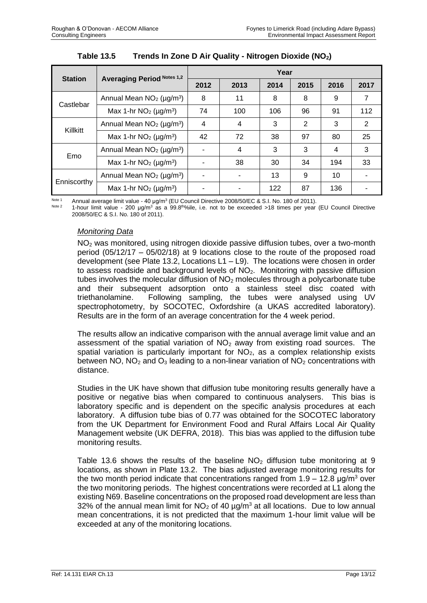|                |                                              | Year                     |      |      |      |                |                |
|----------------|----------------------------------------------|--------------------------|------|------|------|----------------|----------------|
| <b>Station</b> | <b>Averaging Period Notes 1,2</b>            | 2012                     | 2013 | 2014 | 2015 | 2016           | 2017           |
| Castlebar      | Annual Mean $NO2$ (µg/m <sup>3</sup> )       | 8                        | 11   | 8    | 8    | 9              | 7              |
|                | Max 1-hr $NO2$ (µg/m <sup>3</sup> )          | 74                       | 100  | 106  | 96   | 91             | 112            |
| Killkitt       | Annual Mean $NO2$ ( $\mu$ g/m <sup>3</sup> ) | $\overline{4}$           | 4    | 3    | 2    | 3              | $\overline{2}$ |
|                | Max 1-hr $NO2$ (µg/m <sup>3</sup> )          | 42                       | 72   | 38   | 97   | 80             | 25             |
| Emo            | Annual Mean $NO2$ (µg/m <sup>3</sup> )       |                          | 4    | 3    | 3    | $\overline{4}$ | 3              |
|                | Max 1-hr $NO2$ (µg/m <sup>3</sup> )          |                          | 38   | 30   | 34   | 194            | 33             |
| Enniscorthy    | Annual Mean $NO2$ (µg/m <sup>3</sup> )       | $\overline{\phantom{a}}$ |      | 13   | 9    | 10             |                |
|                | Max 1-hr $NO2$ (µg/m <sup>3</sup> )          |                          |      | 122  | 87   | 136            |                |

 $N^{O(16-1)}$  Annual average limit value - 40 μg/m<sup>3</sup> (EU Council Directive 2008/50/EC & S.I. No. 180 of 2011).

<sup>Note 2</sup> 1-hour limit value - 200 μg/m<sup>3</sup> as a 99.8<sup>th ol</sup>ile, i.e. not to be exceeded >18 times per year (EU Council Directive 2008/50/EC & S.I. No. 180 of 2011).

# *Monitoring Data*

NO<sup>2</sup> was monitored, using nitrogen dioxide passive diffusion tubes, over a two-month period (05/12/17 – 05/02/18) at 9 locations close to the route of the proposed road development (see Plate 13.2, Locations L1 – L9). The locations were chosen in order to assess roadside and background levels of  $NO<sub>2</sub>$ . Monitoring with passive diffusion tubes involves the molecular diffusion of  $NO<sub>2</sub>$  molecules through a polycarbonate tube and their subsequent adsorption onto a stainless steel disc coated with triethanolamine. Following sampling, the tubes were analysed using UV spectrophotometry, by SOCOTEC, Oxfordshire (a UKAS accredited laboratory). Results are in the form of an average concentration for the 4 week period.

The results allow an indicative comparison with the annual average limit value and an assessment of the spatial variation of  $NO<sub>2</sub>$  away from existing road sources. The spatial variation is particularly important for  $NO<sub>2</sub>$ , as a complex relationship exists between NO,  $NO<sub>2</sub>$  and  $O<sub>3</sub>$  leading to a non-linear variation of  $NO<sub>2</sub>$  concentrations with distance.

Studies in the UK have shown that diffusion tube monitoring results generally have a positive or negative bias when compared to continuous analysers. This bias is laboratory specific and is dependent on the specific analysis procedures at each laboratory. A diffusion tube bias of 0.77 was obtained for the SOCOTEC laboratory from the UK Department for Environment Food and Rural Affairs Local Air Quality Management website (UK DEFRA, 2018). This bias was applied to the diffusion tube monitoring results.

Table 13.6 shows the results of the baseline  $NO<sub>2</sub>$  diffusion tube monitoring at 9 locations, as shown in Plate 13.2. The bias adjusted average monitoring results for the two month period indicate that concentrations ranged from  $1.9 - 12.8$  µg/m<sup>3</sup> over the two monitoring periods. The highest concentrations were recorded at L1 along the existing N69. Baseline concentrations on the proposed road development are less than 32% of the annual mean limit for  $NO<sub>2</sub>$  of 40  $\mu$ g/m<sup>3</sup> at all locations. Due to low annual mean concentrations, it is not predicted that the maximum 1-hour limit value will be exceeded at any of the monitoring locations.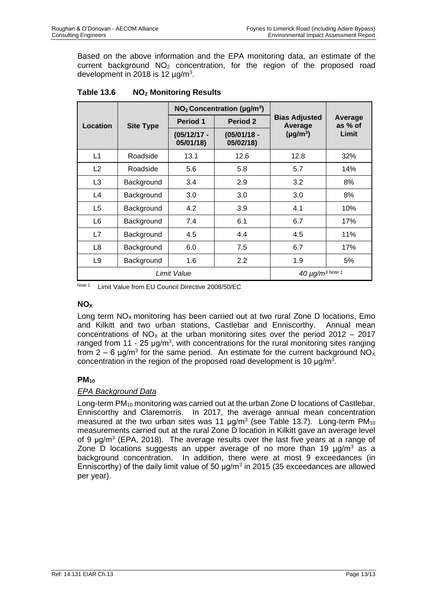Based on the above information and the EPA monitoring data, an estimate of the current background NO<sub>2</sub> concentration, for the region of the proposed road development in 2018 is 12  $\mu$ g/m<sup>3</sup>.

|                |                  |                            | $NO2$ Concentration ( $\mu$ g/m <sup>3</sup> ) |                                 | Average<br>as % of<br>Limit |  |
|----------------|------------------|----------------------------|------------------------------------------------|---------------------------------|-----------------------------|--|
| Location       | <b>Site Type</b> | <b>Period 1</b>            | Period 2                                       | <b>Bias Adjusted</b><br>Average |                             |  |
|                |                  | $(05/12/17 -$<br>05/01/18) | $(05/01/18 -$<br>05/02/18)                     | $(\mu g/m^3)$                   |                             |  |
| L1             | Roadside         | 13.1                       | 12.6                                           | 12.8                            | 32%                         |  |
| L <sub>2</sub> | Roadside         | 5.6                        | 5.8                                            | 5.7                             | 14%                         |  |
| L3             | Background       | 3.4                        | 2.9                                            | 3.2                             | 8%                          |  |
| L4             | Background       | 3.0                        | 3.0                                            | 3.0                             | 8%                          |  |
| L <sub>5</sub> | Background       | 4.2                        | 3.9                                            | 4.1                             | 10%                         |  |
| L <sub>6</sub> | Background       | 7.4                        | 6.1                                            | 6.7                             | 17%                         |  |
| L7             | Background       | 4.5                        | 4.4                                            | 4.5                             | 11%                         |  |
| L <sub>8</sub> | Background       | 6.0                        | 7.5                                            | 6.7                             | 17%                         |  |
| L <sub>9</sub> | Background       | 1.6                        | 2.2                                            | 1.9                             | 5%                          |  |
| Limit Value    |                  |                            | $40 \mu g/m^3$ Note 1                          |                                 |                             |  |

# **Table 13.6 NO<sup>2</sup> Monitoring Results**

Note 1 Limit Value from EU Council Directive 2008/50/EC

## **NO<sup>X</sup>**

Long term  $NO<sub>x</sub>$  monitoring has been carried out at two rural Zone D locations, Emo and Kilkitt and two urban stations, Castlebar and Enniscorthy. Annual mean concentrations of  $NO<sub>x</sub>$  at the urban monitoring sites over the period 2012 – 2017 ranged from 11 - 25  $\mu$ g/m<sup>3</sup>, with concentrations for the rural monitoring sites ranging from 2 – 6  $\mu$ g/m<sup>3</sup> for the same period. An estimate for the current background NO<sub>x</sub> concentration in the region of the proposed road development is 10  $\mu$ g/m<sup>3</sup>.

# **PM<sup>10</sup>**

# *EPA Background Data*

Long-term PM<sub>10</sub> monitoring was carried out at the urban Zone D locations of Castlebar, Enniscorthy and Claremorris. In 2017, the average annual mean concentration measured at the two urban sites was 11  $\mu$ g/m<sup>3</sup> (see Table 13.7). Long-term PM<sub>10</sub> measurements carried out at the rural Zone D location in Kilkitt gave an average level of 9  $\mu$ g/m<sup>3</sup> (EPA, 2018). The average results over the last five years at a range of Zone D locations suggests an upper average of no more than 19  $\mu$ g/m<sup>3</sup> as a background concentration. In addition, there were at most 9 exceedances (in Enniscorthy) of the daily limit value of 50  $\mu$ g/m<sup>3</sup> in 2015 (35 exceedances are allowed per year).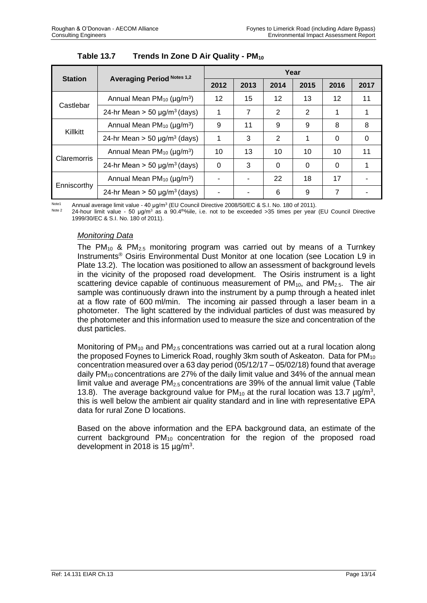| <b>Station</b> | <b>Averaging Period Notes 1,2</b>                 | Year |      |                 |      |          |          |
|----------------|---------------------------------------------------|------|------|-----------------|------|----------|----------|
|                |                                                   | 2012 | 2013 | 2014            | 2015 | 2016     | 2017     |
|                | Annual Mean $PM_{10}$ ( $\mu$ g/m <sup>3</sup> )  | 12   | 15   | 12 <sup>2</sup> | 13   | 12       | 11       |
| Castlebar      | 24-hr Mean $>$ 50 µg/m <sup>3</sup> (days)        | 1    | 7    | 2               | 2    |          |          |
|                | Annual Mean $PM_{10}$ ( $\mu$ g/m <sup>3</sup> )  | 9    | 11   | 9               | 9    | 8        | 8        |
| Killkitt       | 24-hr Mean $>$ 50 µg/m <sup>3</sup> (days)        | 1    | 3    | 2               | 1    | $\Omega$ | $\Omega$ |
| Claremorris    | Annual Mean PM <sub>10</sub> (µg/m <sup>3</sup> ) | 10   | 13   | 10              | 10   | 10       | 11       |
|                | 24-hr Mean $>$ 50 µg/m <sup>3</sup> (days)        | 0    | 3    | $\Omega$        | 0    | $\Omega$ |          |
| Enniscorthy    | Annual Mean PM <sub>10</sub> (µg/m <sup>3</sup> ) |      |      | 22              | 18   | 17       |          |
|                | 24-hr Mean $>$ 50 µg/m <sup>3</sup> (days)        |      |      | 6               | 9    | 7        |          |

Note1 Annual average limit value - 40 μg/m<sup>3</sup> (EU Council Directive 2008/50/EC & S.I. No. 180 of 2011).

<sup>Note 2</sup> 24-hour limit value - 50 μg/m<sup>3</sup> as a 90.4<sup>th o</sup> ile, i.e. not to be exceeded >35 times per year (EU Council Directive 1999/30/EC & S.I. No. 180 of 2011).

# *Monitoring Data*

The PM<sub>10</sub> & PM<sub>2.5</sub> monitoring program was carried out by means of a Turnkey Instruments® Osiris Environmental Dust Monitor at one location (see Location L9 in Plate 13.2). The location was positioned to allow an assessment of background levels in the vicinity of the proposed road development. The Osiris instrument is a light scattering device capable of continuous measurement of  $PM_{10}$ , and  $PM_{2.5}$ . The air sample was continuously drawn into the instrument by a pump through a heated inlet at a flow rate of 600 ml/min. The incoming air passed through a laser beam in a photometer. The light scattered by the individual particles of dust was measured by the photometer and this information used to measure the size and concentration of the dust particles.

Monitoring of  $PM_{10}$  and  $PM_{2.5}$  concentrations was carried out at a rural location along the proposed Foynes to Limerick Road, roughly 3km south of Askeaton. Data for PM<sub>10</sub> concentration measured over a 63 day period (05/12/17 – 05/02/18) found that average daily  $PM_{10}$  concentrations are 27% of the daily limit value and 34% of the annual mean limit value and average  $PM<sub>2.5</sub>$  concentrations are 39% of the annual limit value (Table 13.8). The average background value for  $PM_{10}$  at the rural location was 13.7  $\mu$ g/m<sup>3</sup>, this is well below the ambient air quality standard and in line with representative EPA data for rural Zone D locations.

Based on the above information and the EPA background data, an estimate of the current background  $PM_{10}$  concentration for the region of the proposed road development in 2018 is 15  $\mu$ g/m<sup>3</sup>.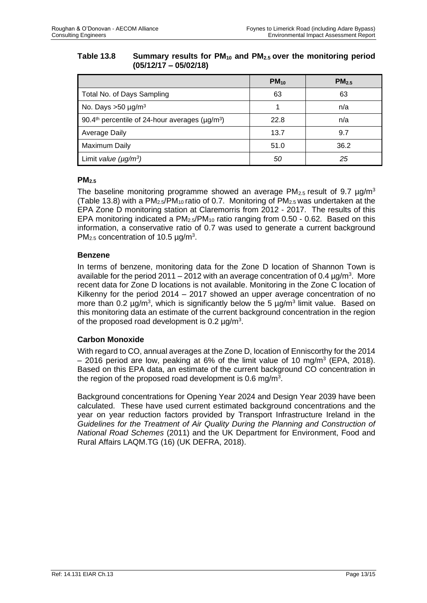#### **Table 13.8 Summary results for PM<sup>10</sup> and PM2.5 over the monitoring period (05/12/17 – 05/02/18)**

|                                                                              | $PM_{10}$ | PM <sub>2.5</sub> |
|------------------------------------------------------------------------------|-----------|-------------------|
| Total No. of Days Sampling                                                   | 63        | 63                |
| No. Days $>50 \mu g/m^3$                                                     |           | n/a               |
| 90.4 <sup>th</sup> percentile of 24-hour averages ( $\mu$ g/m <sup>3</sup> ) | 22.8      | n/a               |
| <b>Average Daily</b>                                                         | 13.7      | 9.7               |
| Maximum Daily                                                                | 51.0      | 36.2              |
| Limit value $(\mu g/m^3)$                                                    | 50        | 25                |

# **PM2.5**

The baseline monitoring programme showed an average  $PM_{2.5}$  result of 9.7  $\mu$ g/m<sup>3</sup> (Table 13.8) with a  $PM_{2.5}/PM_{10}$  ratio of 0.7. Monitoring of  $PM_{2.5}$  was undertaken at the EPA Zone D monitoring station at Claremorris from 2012 - 2017. The results of this EPA monitoring indicated a  $PM<sub>2.5</sub>/PM<sub>10</sub>$  ratio ranging from 0.50 - 0.62. Based on this information, a conservative ratio of 0.7 was used to generate a current background PM<sub>2.5</sub> concentration of 10.5  $\mu$ g/m<sup>3</sup>.

#### **Benzene**

In terms of benzene, monitoring data for the Zone D location of Shannon Town is available for the period 2011 – 2012 with an average concentration of 0.4  $\mu$ g/m<sup>3</sup>. More recent data for Zone D locations is not available. Monitoring in the Zone C location of Kilkenny for the period 2014 – 2017 showed an upper average concentration of no more than 0.2  $\mu$ g/m<sup>3</sup>, which is significantly below the 5  $\mu$ g/m<sup>3</sup> limit value. Based on this monitoring data an estimate of the current background concentration in the region of the proposed road development is  $0.2 \mu g/m^3$ .

# **Carbon Monoxide**

With regard to CO, annual averages at the Zone D, location of Enniscorthy for the 2014  $-$  2016 period are low, peaking at 6% of the limit value of 10 mg/m<sup>3</sup> (EPA, 2018). Based on this EPA data, an estimate of the current background CO concentration in the region of the proposed road development is 0.6 mg/m<sup>3</sup>.

Background concentrations for Opening Year 2024 and Design Year 2039 have been calculated. These have used current estimated background concentrations and the year on year reduction factors provided by Transport Infrastructure Ireland in the Guidelines for the Treatment of Air Quality During the Planning and Construction of *National Road Schemes* (2011) and the UK Department for Environment, Food and Rural Affairs LAQM.TG (16) (UK DEFRA, 2018).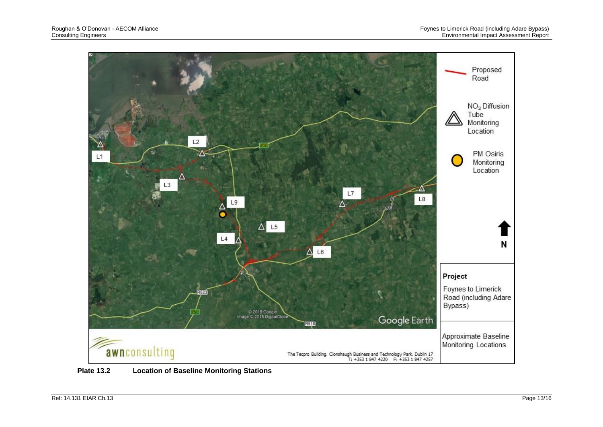

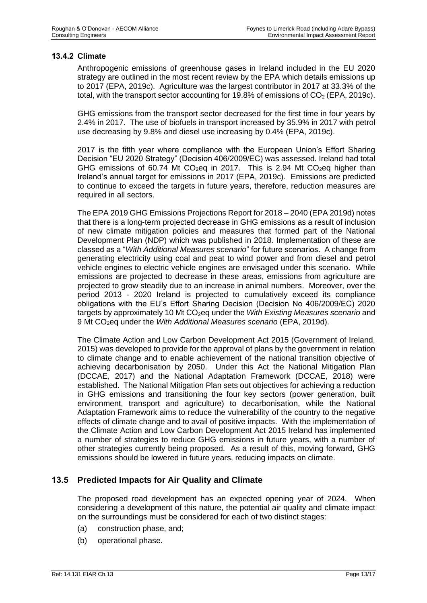#### **13.4.2 Climate**

Anthropogenic emissions of greenhouse gases in Ireland included in the EU 2020 strategy are outlined in the most recent review by the EPA which details emissions up to 2017 (EPA, 2019c). Agriculture was the largest contributor in 2017 at 33.3% of the total, with the transport sector accounting for 19.8% of emissions of  $CO<sub>2</sub>$  (EPA, 2019c).

GHG emissions from the transport sector decreased for the first time in four years by 2.4% in 2017. The use of biofuels in transport increased by 35.9% in 2017 with petrol use decreasing by 9.8% and diesel use increasing by 0.4% (EPA, 2019c).

2017 is the fifth year where compliance with the European Union's Effort Sharing Decision "EU 2020 Strategy" (Decision 406/2009/EC) was assessed. Ireland had total GHG emissions of 60.74 Mt CO<sub>2</sub>eq in 2017. This is 2.94 Mt CO<sub>2</sub>eq higher than Ireland's annual target for emissions in 2017 (EPA, 2019c). Emissions are predicted to continue to exceed the targets in future years, therefore, reduction measures are required in all sectors.

The EPA 2019 GHG Emissions Projections Report for 2018 – 2040 (EPA 2019d) notes that there is a long-term projected decrease in GHG emissions as a result of inclusion of new climate mitigation policies and measures that formed part of the National Development Plan (NDP) which was published in 2018. Implementation of these are classed as a "*With Additional Measures scenario*" for future scenarios. A change from generating electricity using coal and peat to wind power and from diesel and petrol vehicle engines to electric vehicle engines are envisaged under this scenario. While emissions are projected to decrease in these areas, emissions from agriculture are projected to grow steadily due to an increase in animal numbers. Moreover, over the period 2013 - 2020 Ireland is projected to cumulatively exceed its compliance obligations with the EU's Effort Sharing Decision (Decision No 406/2009/EC) 2020 targets by approximately 10 Mt CO<sub>2</sub>eq under the *With Existing Measures scenario* and 9 Mt CO2eq under the *With Additional Measures scenario* (EPA, 2019d).

The Climate Action and Low Carbon Development Act 2015 (Government of Ireland, 2015) was developed to provide for the approval of plans by the government in relation to climate change and to enable achievement of the national transition objective of achieving decarbonisation by 2050. Under this Act the National Mitigation Plan (DCCAE, 2017) and the National Adaptation Framework (DCCAE, 2018) were established. The National Mitigation Plan sets out objectives for achieving a reduction in GHG emissions and transitioning the four key sectors (power generation, built environment, transport and agriculture) to decarbonisation, while the National Adaptation Framework aims to reduce the vulnerability of the country to the negative effects of climate change and to avail of positive impacts. With the implementation of the Climate Action and Low Carbon Development Act 2015 Ireland has implemented a number of strategies to reduce GHG emissions in future years, with a number of other strategies currently being proposed. As a result of this, moving forward, GHG emissions should be lowered in future years, reducing impacts on climate.

# **13.5 Predicted Impacts for Air Quality and Climate**

The proposed road development has an expected opening year of 2024. When considering a development of this nature, the potential air quality and climate impact on the surroundings must be considered for each of two distinct stages:

- (a) construction phase, and;
- (b) operational phase.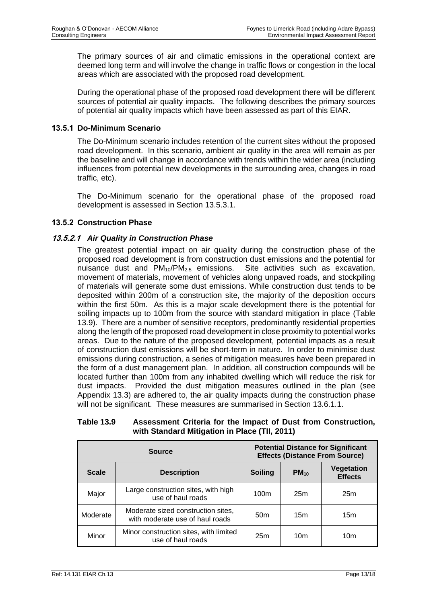The primary sources of air and climatic emissions in the operational context are deemed long term and will involve the change in traffic flows or congestion in the local areas which are associated with the proposed road development.

During the operational phase of the proposed road development there will be different sources of potential air quality impacts. The following describes the primary sources of potential air quality impacts which have been assessed as part of this EIAR.

# **13.5.1 Do-Minimum Scenario**

The Do-Minimum scenario includes retention of the current sites without the proposed road development. In this scenario, ambient air quality in the area will remain as per the baseline and will change in accordance with trends within the wider area (including influences from potential new developments in the surrounding area, changes in road traffic, etc).

The Do-Minimum scenario for the operational phase of the proposed road development is assessed in Section 13.5.3.1.

#### **13.5.2 Construction Phase**

# **13.5.2.1** *Air Quality in Construction Phase*

The greatest potential impact on air quality during the construction phase of the proposed road development is from construction dust emissions and the potential for nuisance dust and  $PM_{10}/PM_{2.5}$  emissions. Site activities such as excavation, movement of materials, movement of vehicles along unpaved roads, and stockpiling of materials will generate some dust emissions. While construction dust tends to be deposited within 200m of a construction site, the majority of the deposition occurs within the first 50m. As this is a major scale development there is the potential for soiling impacts up to 100m from the source with standard mitigation in place (Table 13.9). There are a number of sensitive receptors, predominantly residential properties along the length of the proposed road development in close proximity to potential works areas. Due to the nature of the proposed development, potential impacts as a result of construction dust emissions will be short-term in nature. In order to minimise dust emissions during construction, a series of mitigation measures have been prepared in the form of a dust management plan. In addition, all construction compounds will be located further than 100m from any inhabited dwelling which will reduce the risk for dust impacts. Provided the dust mitigation measures outlined in the plan (see Appendix 13.3) are adhered to, the air quality impacts during the construction phase will not be significant. These measures are summarised in Section 13.6.1.1.

#### **Table 13.9 Assessment Criteria for the Impact of Dust from Construction, with Standard Mitigation in Place (TII, 2011)**

|              | <b>Source</b>                                                         |                 | <b>Potential Distance for Significant</b><br><b>Effects (Distance From Source)</b> |                                     |  |  |
|--------------|-----------------------------------------------------------------------|-----------------|------------------------------------------------------------------------------------|-------------------------------------|--|--|
| <b>Scale</b> | <b>Description</b>                                                    | <b>Soiling</b>  | $PM_{10}$                                                                          | <b>Vegetation</b><br><b>Effects</b> |  |  |
| Major        | Large construction sites, with high<br>use of haul roads              | 100m            | 25m                                                                                | 25m                                 |  |  |
| Moderate     | Moderate sized construction sites,<br>with moderate use of haul roads | 50 <sub>m</sub> | 15m                                                                                | 15m                                 |  |  |
| Minor        | Minor construction sites, with limited<br>use of haul roads           | 25m             | 10m                                                                                | 10m                                 |  |  |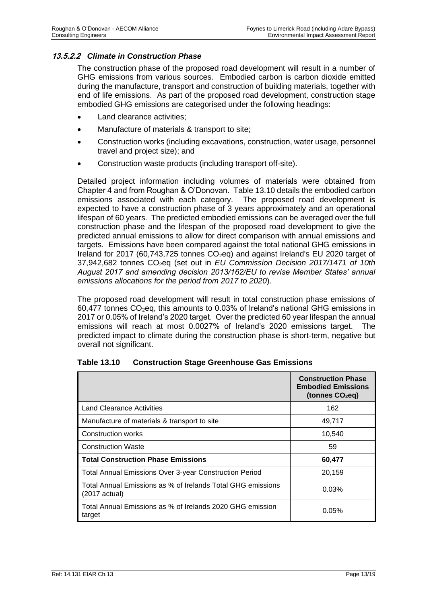# **13.5.2.2** *Climate in Construction Phase*

The construction phase of the proposed road development will result in a number of GHG emissions from various sources. Embodied carbon is carbon dioxide emitted during the manufacture, transport and construction of building materials, together with end of life emissions. As part of the proposed road development, construction stage embodied GHG emissions are categorised under the following headings:

- Land clearance activities;
- Manufacture of materials & transport to site;
- Construction works (including excavations, construction, water usage, personnel travel and project size); and
- Construction waste products (including transport off-site).

Detailed project information including volumes of materials were obtained from Chapter 4 and from Roughan & O'Donovan. Table 13.10 details the embodied carbon emissions associated with each category. The proposed road development is expected to have a construction phase of 3 years approximately and an operational lifespan of 60 years. The predicted embodied emissions can be averaged over the full construction phase and the lifespan of the proposed road development to give the predicted annual emissions to allow for direct comparison with annual emissions and targets. Emissions have been compared against the total national GHG emissions in Ireland for 2017 (60,743,725 tonnes CO<sub>2</sub>eq) and against Ireland's EU 2020 target of 37,942,682 tonnes CO2eq (set out in *EU Commission Decision 2017/1471 of 10th August 2017 and amending decision 2013/162/EU to revise Member States' annual emissions allocations for the period from 2017 to 2020*).

The proposed road development will result in total construction phase emissions of 60,477 tonnes  $CO<sub>2</sub>$ eq, this amounts to 0.03% of Ireland's national GHG emissions in 2017 or 0.05% of Ireland's 2020 target. Over the predicted 60 year lifespan the annual emissions will reach at most 0.0027% of Ireland's 2020 emissions target. The predicted impact to climate during the construction phase is short-term, negative but overall not significant.

|                                                                                        | <b>Construction Phase</b><br><b>Embodied Emissions</b><br>(tonnes $CO2eq$ ) |
|----------------------------------------------------------------------------------------|-----------------------------------------------------------------------------|
| <b>Land Clearance Activities</b>                                                       | 162                                                                         |
| Manufacture of materials & transport to site                                           | 49,717                                                                      |
| Construction works                                                                     | 10,540                                                                      |
| <b>Construction Waste</b>                                                              | 59                                                                          |
| <b>Total Construction Phase Emissions</b>                                              | 60,477                                                                      |
| <b>Total Annual Emissions Over 3-year Construction Period</b>                          | 20,159                                                                      |
| Total Annual Emissions as % of Irelands Total GHG emissions<br>$(2017 \text{ actual})$ | 0.03%                                                                       |
| Total Annual Emissions as % of Irelands 2020 GHG emission<br>target                    | 0.05%                                                                       |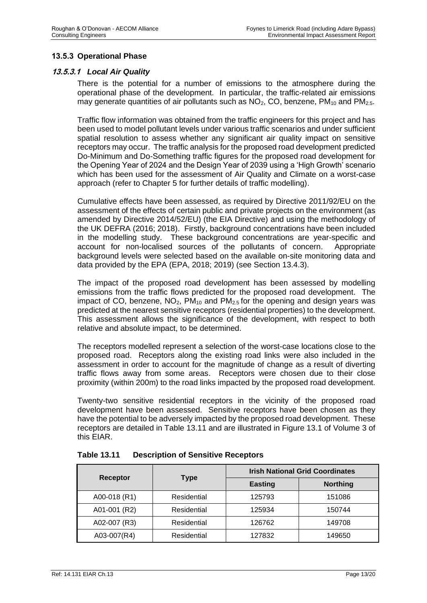# **13.5.3 Operational Phase**

## **13.5.3.1** *Local Air Quality*

There is the potential for a number of emissions to the atmosphere during the operational phase of the development. In particular, the traffic-related air emissions may generate quantities of air pollutants such as  $NO<sub>2</sub>$ , CO, benzene, PM<sub>10</sub> and PM<sub>2.5</sub>.

Traffic flow information was obtained from the traffic engineers for this project and has been used to model pollutant levels under various traffic scenarios and under sufficient spatial resolution to assess whether any significant air quality impact on sensitive receptors may occur. The traffic analysis for the proposed road development predicted Do-Minimum and Do-Something traffic figures for the proposed road development for the Opening Year of 2024 and the Design Year of 2039 using a 'High Growth' scenario which has been used for the assessment of Air Quality and Climate on a worst-case approach (refer to Chapter 5 for further details of traffic modelling).

Cumulative effects have been assessed, as required by Directive 2011/92/EU on the assessment of the effects of certain public and private projects on the environment (as amended by Directive 2014/52/EU) (the EIA Directive) and using the methodology of the UK DEFRA (2016; 2018). Firstly, background concentrations have been included in the modelling study. These background concentrations are year-specific and account for non-localised sources of the pollutants of concern. Appropriate background levels were selected based on the available on-site monitoring data and data provided by the EPA (EPA, 2018; 2019) (see Section 13.4.3).

The impact of the proposed road development has been assessed by modelling emissions from the traffic flows predicted for the proposed road development. The impact of CO, benzene,  $NO<sub>2</sub>$ ,  $PM<sub>10</sub>$  and  $PM<sub>2.5</sub>$  for the opening and design years was predicted at the nearest sensitive receptors (residential properties) to the development. This assessment allows the significance of the development, with respect to both relative and absolute impact, to be determined.

The receptors modelled represent a selection of the worst-case locations close to the proposed road. Receptors along the existing road links were also included in the assessment in order to account for the magnitude of change as a result of diverting traffic flows away from some areas. Receptors were chosen due to their close proximity (within 200m) to the road links impacted by the proposed road development.

Twenty-two sensitive residential receptors in the vicinity of the proposed road development have been assessed. Sensitive receptors have been chosen as they have the potential to be adversely impacted by the proposed road development. These receptors are detailed in Table 13.11 and are illustrated in Figure 13.1 of Volume 3 of this EIAR.

|              |             |                | <b>Irish National Grid Coordinates</b> |  |
|--------------|-------------|----------------|----------------------------------------|--|
| Receptor     | Type        | <b>Easting</b> | <b>Northing</b>                        |  |
| A00-018 (R1) | Residential | 125793         | 151086                                 |  |
| A01-001 (R2) | Residential | 125934         | 150744                                 |  |
| A02-007 (R3) | Residential | 126762         | 149708                                 |  |
| A03-007(R4)  | Residential | 127832         | 149650                                 |  |

**Table 13.11 Description of Sensitive Receptors**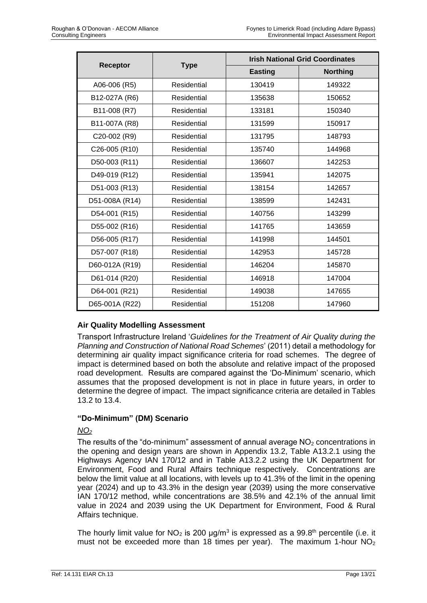|                |                    |                | <b>Irish National Grid Coordinates</b> |
|----------------|--------------------|----------------|----------------------------------------|
| Receptor       | <b>Type</b>        | <b>Easting</b> | <b>Northing</b>                        |
| A06-006 (R5)   | Residential        | 130419         | 149322                                 |
| B12-027A (R6)  | Residential        | 135638         | 150652                                 |
| B11-008 (R7)   | Residential        | 133181         | 150340                                 |
| B11-007A (R8)  | Residential        | 131599         | 150917                                 |
| C20-002 (R9)   | Residential        | 131795         | 148793                                 |
| C26-005 (R10)  | Residential        | 135740         | 144968                                 |
| D50-003 (R11)  | Residential        | 136607         | 142253                                 |
| D49-019 (R12)  | Residential        | 135941         | 142075                                 |
| D51-003 (R13)  | Residential        | 138154         | 142657                                 |
| D51-008A (R14) | Residential        | 138599         | 142431                                 |
| D54-001 (R15)  | Residential        | 140756         | 143299                                 |
| D55-002 (R16)  | Residential        | 141765         | 143659                                 |
| D56-005 (R17)  | Residential        | 141998         | 144501                                 |
| D57-007 (R18)  | <b>Residential</b> | 142953         | 145728                                 |
| D60-012A (R19) | Residential        | 146204         | 145870                                 |
| D61-014 (R20)  | Residential        | 146918         | 147004                                 |
| D64-001 (R21)  | Residential        | 149038         | 147655                                 |
| D65-001A (R22) | Residential        | 151208         | 147960                                 |

# **Air Quality Modelling Assessment**

Transport Infrastructure Ireland '*Guidelines for the Treatment of Air Quality during the Planning and Construction of National Road Schemes*' (2011) detail a methodology for determining air quality impact significance criteria for road schemes. The degree of impact is determined based on both the absolute and relative impact of the proposed road development. Results are compared against the 'Do-Minimum' scenario, which assumes that the proposed development is not in place in future years, in order to determine the degree of impact. The impact significance criteria are detailed in Tables 13.2 to 13.4.

#### **"Do-Minimum" (DM) Scenario**

#### *NO<sup>2</sup>*

The results of the "do-minimum" assessment of annual average  $NO<sub>2</sub>$  concentrations in the opening and design years are shown in Appendix 13.2, Table A13.2.1 using the Highways Agency IAN 170/12 and in Table A13.2.2 using the UK Department for Environment, Food and Rural Affairs technique respectively. Concentrations are below the limit value at all locations, with levels up to 41.3% of the limit in the opening year (2024) and up to 43.3% in the design year (2039) using the more conservative IAN 170/12 method, while concentrations are 38.5% and 42.1% of the annual limit value in 2024 and 2039 using the UK Department for Environment, Food & Rural Affairs technique.

The hourly limit value for  $NO<sub>2</sub>$  is 200  $\mu$ g/m<sup>3</sup> is expressed as a 99.8<sup>th</sup> percentile (i.e. it must not be exceeded more than 18 times per year). The maximum 1-hour  $NO<sub>2</sub>$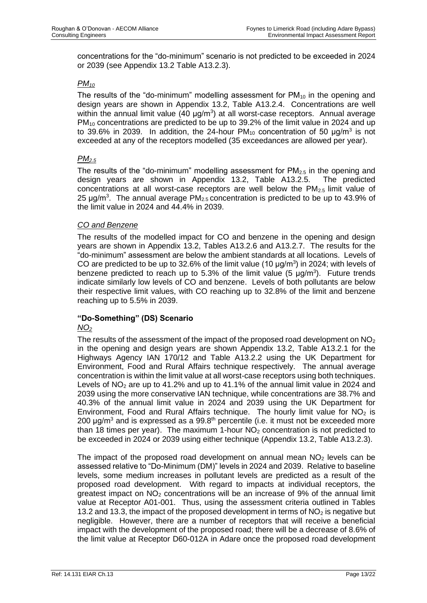concentrations for the "do-minimum" scenario is not predicted to be exceeded in 2024 or 2039 (see Appendix 13.2 Table A13.2.3).

# *PM<sup>10</sup>*

The results of the "do-minimum" modelling assessment for  $PM_{10}$  in the opening and design years are shown in Appendix 13.2, Table A13.2.4. Concentrations are well within the annual limit value (40  $\mu$ g/m<sup>3</sup>) at all worst-case receptors. Annual average  $PM_{10}$  concentrations are predicted to be up to 39.2% of the limit value in 2024 and up to 39.6% in 2039. In addition, the 24-hour PM<sub>10</sub> concentration of 50  $\mu$ g/m<sup>3</sup> is not exceeded at any of the receptors modelled (35 exceedances are allowed per year).

# *PM2.5*

The results of the "do-minimum" modelling assessment for  $PM<sub>2.5</sub>$  in the opening and design years are shown in Appendix 13.2, Table A13.2.5. The predicted concentrations at all worst-case receptors are well below the  $PM_{2.5}$  limit value of 25  $\mu$ g/m<sup>3</sup>. The annual average PM<sub>2.5</sub> concentration is predicted to be up to 43.9% of the limit value in 2024 and 44.4% in 2039.

#### *CO and Benzene*

The results of the modelled impact for CO and benzene in the opening and design years are shown in Appendix 13.2, Tables A13.2.6 and A13.2.7. The results for the "do-minimum" assessment are below the ambient standards at all locations. Levels of CO are predicted to be up to 32.6% of the limit value (10  $\mu$ g/m<sup>3</sup>) in 2024; with levels of benzene predicted to reach up to 5.3% of the limit value (5  $\mu$ g/m<sup>3</sup>). Future trends indicate similarly low levels of CO and benzene. Levels of both pollutants are below their respective limit values, with CO reaching up to 32.8% of the limit and benzene reaching up to 5.5% in 2039.

# **"Do-Something" (DS) Scenario**

#### *NO<sup>2</sup>*

The results of the assessment of the impact of the proposed road development on  $NO<sub>2</sub>$ in the opening and design years are shown Appendix 13.2, Table A13.2.1 for the Highways Agency IAN 170/12 and Table A13.2.2 using the UK Department for Environment, Food and Rural Affairs technique respectively. The annual average concentration is within the limit value at all worst-case receptors using both techniques. Levels of  $NO<sub>2</sub>$  are up to 41.2% and up to 41.1% of the annual limit value in 2024 and 2039 using the more conservative IAN technique, while concentrations are 38.7% and 40.3% of the annual limit value in 2024 and 2039 using the UK Department for Environment, Food and Rural Affairs technique. The hourly limit value for  $NO<sub>2</sub>$  is 200  $\mu$ g/m<sup>3</sup> and is expressed as a 99.8<sup>th</sup> percentile (i.e. it must not be exceeded more than 18 times per year). The maximum 1-hour  $NO<sub>2</sub>$  concentration is not predicted to be exceeded in 2024 or 2039 using either technique (Appendix 13.2, Table A13.2.3).

The impact of the proposed road development on annual mean  $NO<sub>2</sub>$  levels can be assessed relative to "Do-Minimum (DM)" levels in 2024 and 2039. Relative to baseline levels, some medium increases in pollutant levels are predicted as a result of the proposed road development. With regard to impacts at individual receptors, the greatest impact on  $NO<sub>2</sub>$  concentrations will be an increase of 9% of the annual limit value at Receptor A01-001. Thus, using the assessment criteria outlined in Tables 13.2 and 13.3, the impact of the proposed development in terms of  $NO<sub>2</sub>$  is negative but negligible. However, there are a number of receptors that will receive a beneficial impact with the development of the proposed road; there will be a decrease of 8.6% of the limit value at Receptor D60-012A in Adare once the proposed road development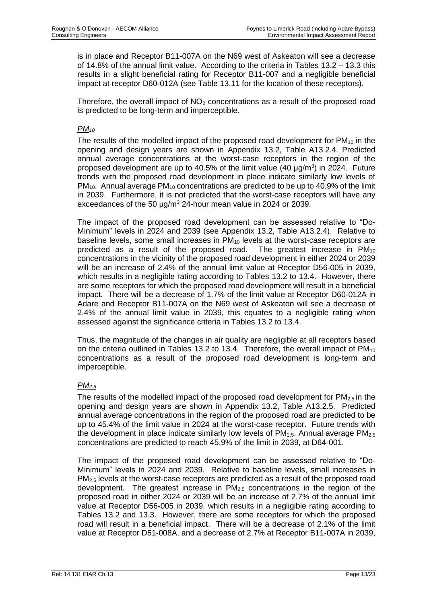is in place and Receptor B11-007A on the N69 west of Askeaton will see a decrease of 14.8% of the annual limit value. According to the criteria in Tables 13.2 – 13.3 this results in a slight beneficial rating for Receptor B11-007 and a negligible beneficial impact at receptor D60-012A (see Table 13.11 for the location of these receptors).

Therefore, the overall impact of  $NO<sub>2</sub>$  concentrations as a result of the proposed road is predicted to be long-term and imperceptible.

# *PM<sup>10</sup>*

The results of the modelled impact of the proposed road development for  $PM_{10}$  in the opening and design years are shown in Appendix 13.2, Table A13.2.4. Predicted annual average concentrations at the worst-case receptors in the region of the proposed development are up to 40.5% of the limit value  $(40 \text{ µg/m}^3)$  in 2024. Future trends with the proposed road development in place indicate similarly low levels of  $PM_{10}$ . Annual average  $PM_{10}$  concentrations are predicted to be up to 40.9% of the limit in 2039. Furthermore, it is not predicted that the worst-case receptors will have any exceedances of the 50 μg/m<sup>3</sup> 24-hour mean value in 2024 or 2039.

The impact of the proposed road development can be assessed relative to "Do-Minimum" levels in 2024 and 2039 (see Appendix 13.2, Table A13.2.4). Relative to baseline levels, some small increases in  $PM_{10}$  levels at the worst-case receptors are predicted as a result of the proposed road. The greatest increase in PM<sub>10</sub> concentrations in the vicinity of the proposed road development in either 2024 or 2039 will be an increase of 2.4% of the annual limit value at Receptor D56-005 in 2039, which results in a negligible rating according to Tables 13.2 to 13.4. However, there are some receptors for which the proposed road development will result in a beneficial impact. There will be a decrease of 1.7% of the limit value at Receptor D60-012A in Adare and Receptor B11-007A on the N69 west of Askeaton will see a decrease of 2.4% of the annual limit value in 2039, this equates to a negligible rating when assessed against the significance criteria in Tables 13.2 to 13.4.

Thus, the magnitude of the changes in air quality are negligible at all receptors based on the criteria outlined in Tables 13.2 to 13.4. Therefore, the overall impact of  $PM_{10}$ concentrations as a result of the proposed road development is long-term and imperceptible.

# *PM2.5*

The results of the modelled impact of the proposed road development for  $PM_{2.5}$  in the opening and design years are shown in Appendix 13.2, Table A13.2.5. Predicted annual average concentrations in the region of the proposed road are predicted to be up to 45.4% of the limit value in 2024 at the worst-case receptor. Future trends with the development in place indicate similarly low levels of  $PM_{2.5}$ . Annual average  $PM_{2.5}$ concentrations are predicted to reach 45.9% of the limit in 2039, at D64-001.

The impact of the proposed road development can be assessed relative to "Do-Minimum" levels in 2024 and 2039. Relative to baseline levels, small increases in PM<sub>2.5</sub> levels at the worst-case receptors are predicted as a result of the proposed road development. The greatest increase in  $PM<sub>2.5</sub>$  concentrations in the region of the proposed road in either 2024 or 2039 will be an increase of 2.7% of the annual limit value at Receptor D56-005 in 2039, which results in a negligible rating according to Tables 13.2 and 13.3. However, there are some receptors for which the proposed road will result in a beneficial impact. There will be a decrease of 2.1% of the limit value at Receptor D51-008A, and a decrease of 2.7% at Receptor B11-007A in 2039,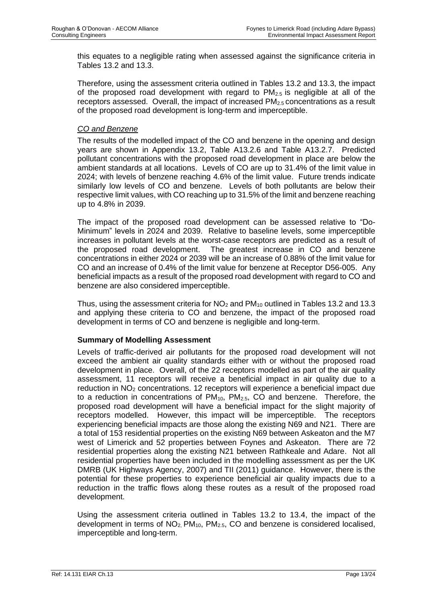this equates to a negligible rating when assessed against the significance criteria in Tables 13.2 and 13.3.

Therefore, using the assessment criteria outlined in Tables 13.2 and 13.3, the impact of the proposed road development with regard to  $PM_{2.5}$  is negligible at all of the receptors assessed. Overall, the impact of increased  $PM<sub>2.5</sub>$  concentrations as a result of the proposed road development is long-term and imperceptible.

#### *CO and Benzene*

The results of the modelled impact of the CO and benzene in the opening and design years are shown in Appendix 13.2, Table A13.2.6 and Table A13.2.7. Predicted pollutant concentrations with the proposed road development in place are below the ambient standards at all locations. Levels of CO are up to 31.4% of the limit value in 2024; with levels of benzene reaching 4.6% of the limit value. Future trends indicate similarly low levels of CO and benzene. Levels of both pollutants are below their respective limit values, with CO reaching up to 31.5% of the limit and benzene reaching up to 4.8% in 2039.

The impact of the proposed road development can be assessed relative to "Do-Minimum" levels in 2024 and 2039. Relative to baseline levels, some imperceptible increases in pollutant levels at the worst-case receptors are predicted as a result of the proposed road development. The greatest increase in CO and benzene concentrations in either 2024 or 2039 will be an increase of 0.88% of the limit value for CO and an increase of 0.4% of the limit value for benzene at Receptor D56-005. Any beneficial impacts as a result of the proposed road development with regard to CO and benzene are also considered imperceptible.

Thus, using the assessment criteria for  $NO<sub>2</sub>$  and PM<sub>10</sub> outlined in Tables 13.2 and 13.3 and applying these criteria to CO and benzene, the impact of the proposed road development in terms of CO and benzene is negligible and long-term.

#### **Summary of Modelling Assessment**

Levels of traffic-derived air pollutants for the proposed road development will not exceed the ambient air quality standards either with or without the proposed road development in place. Overall, of the 22 receptors modelled as part of the air quality assessment, 11 receptors will receive a beneficial impact in air quality due to a reduction in NO<sup>2</sup> concentrations. 12 receptors will experience a beneficial impact due to a reduction in concentrations of  $PM_{10}$ ,  $PM_{2.5}$ , CO and benzene. Therefore, the proposed road development will have a beneficial impact for the slight majority of receptors modelled. However, this impact will be imperceptible. The receptors experiencing beneficial impacts are those along the existing N69 and N21. There are a total of 153 residential properties on the existing N69 between Askeaton and the M7 west of Limerick and 52 properties between Foynes and Askeaton. There are 72 residential properties along the existing N21 between Rathkeale and Adare. Not all residential properties have been included in the modelling assessment as per the UK DMRB (UK Highways Agency, 2007) and TII (2011) guidance. However, there is the potential for these properties to experience beneficial air quality impacts due to a reduction in the traffic flows along these routes as a result of the proposed road development.

Using the assessment criteria outlined in Tables 13.2 to 13.4, the impact of the development in terms of  $NO<sub>2</sub>$ ,  $PM<sub>10</sub>$ ,  $PM<sub>2.5</sub>$ , CO and benzene is considered localised, imperceptible and long-term.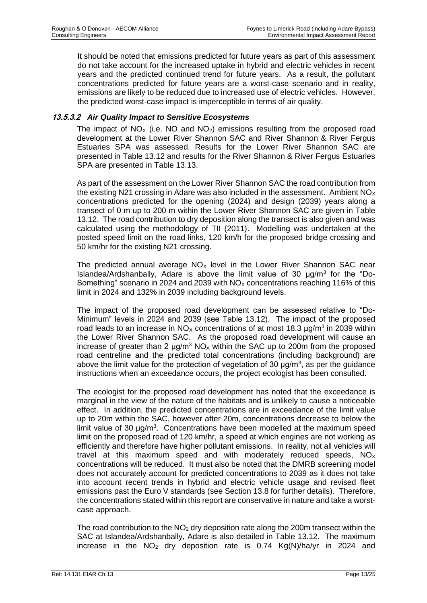It should be noted that emissions predicted for future years as part of this assessment do not take account for the increased uptake in hybrid and electric vehicles in recent years and the predicted continued trend for future years. As a result, the pollutant concentrations predicted for future years are a worst-case scenario and in reality, emissions are likely to be reduced due to increased use of electric vehicles. However, the predicted worst-case impact is imperceptible in terms of air quality.

# **13.5.3.2** *Air Quality Impact to Sensitive Ecosystems*

The impact of  $NO<sub>x</sub>$  (i.e. NO and  $NO<sub>2</sub>$ ) emissions resulting from the proposed road development at the Lower River Shannon SAC and River Shannon & River Fergus Estuaries SPA was assessed. Results for the Lower River Shannon SAC are presented in Table 13.12 and results for the River Shannon & River Fergus Estuaries SPA are presented in Table 13.13.

As part of the assessment on the Lower River Shannon SAC the road contribution from the existing N21 crossing in Adare was also included in the assessment. Ambient  $NO<sub>x</sub>$ concentrations predicted for the opening (2024) and design (2039) years along a transect of 0 m up to 200 m within the Lower River Shannon SAC are given in Table 13.12. The road contribution to dry deposition along the transect is also given and was calculated using the methodology of TII (2011). Modelling was undertaken at the posted speed limit on the road links, 120 km/h for the proposed bridge crossing and 50 km/hr for the existing N21 crossing.

The predicted annual average  $NO<sub>x</sub>$  level in the Lower River Shannon SAC near Islandea/Ardshanbally, Adare is above the limit value of 30 μg/m<sup>3</sup> for the "Do-Something" scenario in 2024 and 2039 with  $NO<sub>x</sub>$  concentrations reaching 116% of this limit in 2024 and 132% in 2039 including background levels.

The impact of the proposed road development can be assessed relative to "Do-Minimum" levels in 2024 and 2039 (see Table 13.12). The impact of the proposed road leads to an increase in NO<sub>X</sub> concentrations of at most 18.3  $\mu$ g/m<sup>3</sup> in 2039 within the Lower River Shannon SAC. As the proposed road development will cause an increase of greater than 2  $\mu$ g/m<sup>3</sup> NO<sub>x</sub> within the SAC up to 200m from the proposed road centreline and the predicted total concentrations (including background) are above the limit value for the protection of vegetation of 30  $\mu$ g/m<sup>3</sup>, as per the guidance instructions when an exceedance occurs, the project ecologist has been consulted.

The ecologist for the proposed road development has noted that the exceedance is marginal in the view of the nature of the habitats and is unlikely to cause a noticeable effect. In addition, the predicted concentrations are in exceedance of the limit value up to 20m within the SAC, however after 20m, concentrations decrease to below the limit value of 30  $\mu$ g/m<sup>3</sup>. Concentrations have been modelled at the maximum speed limit on the proposed road of 120 km/hr, a speed at which engines are not working as efficiently and therefore have higher pollutant emissions. In reality, not all vehicles will travel at this maximum speed and with moderately reduced speeds,  $NO<sub>x</sub>$ concentrations will be reduced. It must also be noted that the DMRB screening model does not accurately account for predicted concentrations to 2039 as it does not take into account recent trends in hybrid and electric vehicle usage and revised fleet emissions past the Euro V standards (see Section 13.8 for further details). Therefore, the concentrations stated within this report are conservative in nature and take a worstcase approach.

The road contribution to the  $NO<sub>2</sub>$  dry deposition rate along the 200m transect within the SAC at Islandea/Ardshanbally, Adare is also detailed in Table 13.12. The maximum increase in the  $NO<sub>2</sub>$  dry deposition rate is 0.74 Kg(N)/ha/yr in 2024 and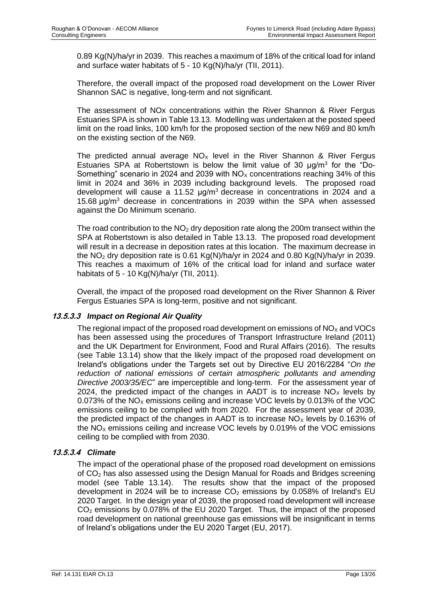0.89 Kg(N)/ha/yr in 2039. This reaches a maximum of 18% of the critical load for inland and surface water habitats of 5 - 10 Kg(N)/ha/yr (TII, 2011).

Therefore, the overall impact of the proposed road development on the Lower River Shannon SAC is negative, long-term and not significant.

The assessment of NOx concentrations within the River Shannon & River Fergus Estuaries SPA is shown in Table 13.13. Modelling was undertaken at the posted speed limit on the road links, 100 km/h for the proposed section of the new N69 and 80 km/h on the existing section of the N69.

The predicted annual average  $NO<sub>x</sub>$  level in the River Shannon & River Fergus Estuaries SPA at Robertstown is below the limit value of 30  $\mu$ g/m<sup>3</sup> for the "Do-Something" scenario in 2024 and 2039 with  $NO<sub>x</sub>$  concentrations reaching 34% of this limit in 2024 and 36% in 2039 including background levels. The proposed road development will cause a 11.52  $\mu$ g/m<sup>3</sup> decrease in concentrations in 2024 and a 15.68  $\mu$ g/m<sup>3</sup> decrease in concentrations in 2039 within the SPA when assessed against the Do Minimum scenario.

The road contribution to the  $NO<sub>2</sub>$  dry deposition rate along the 200m transect within the SPA at Robertstown is also detailed in Table 13.13. The proposed road development will result in a decrease in deposition rates at this location. The maximum decrease in the NO<sub>2</sub> dry deposition rate is 0.61 Kg(N)/ha/yr in 2024 and 0.80 Kg(N)/ha/yr in 2039. This reaches a maximum of 16% of the critical load for inland and surface water habitats of 5 - 10 Kg(N)/ha/yr (TII, 2011).

Overall, the impact of the proposed road development on the River Shannon & River Fergus Estuaries SPA is long-term, positive and not significant.

#### **13.5.3.3** *Impact on Regional Air Quality*

The regional impact of the proposed road development on emissions of  $NO<sub>x</sub>$  and VOCs has been assessed using the procedures of Transport Infrastructure Ireland (2011) and the UK Department for Environment, Food and Rural Affairs (2016). The results (see Table 13.14) show that the likely impact of the proposed road development on Ireland's obligations under the Targets set out by Directive EU 2016/2284 "*On the reduction of national emissions of certain atmospheric pollutants and amending Directive 2003/35/EC*" are imperceptible and long-term. For the assessment year of 2024, the predicted impact of the changes in AADT is to increase  $NO<sub>x</sub>$  levels by 0.073% of the  $NO<sub>x</sub>$  emissions ceiling and increase VOC levels by 0.013% of the VOC emissions ceiling to be complied with from 2020. For the assessment year of 2039, the predicted impact of the changes in AADT is to increase  $NO<sub>x</sub>$  levels by 0.163% of the  $NO<sub>X</sub>$  emissions ceiling and increase VOC levels by 0.019% of the VOC emissions ceiling to be complied with from 2030.

# **13.5.3.4** *Climate*

The impact of the operational phase of the proposed road development on emissions of CO<sup>2</sup> has also assessed using the Design Manual for Roads and Bridges screening model (see Table 13.14). The results show that the impact of the proposed development in 2024 will be to increase  $CO<sub>2</sub>$  emissions by 0.058% of Ireland's EU 2020 Target. In the design year of 2039, the proposed road development will increase CO<sup>2</sup> emissions by 0.078% of the EU 2020 Target. Thus, the impact of the proposed road development on national greenhouse gas emissions will be insignificant in terms of Ireland's obligations under the EU 2020 Target (EU, 2017).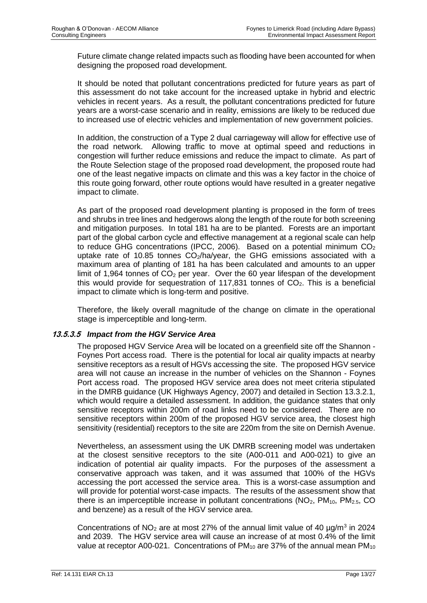Future climate change related impacts such as flooding have been accounted for when designing the proposed road development.

It should be noted that pollutant concentrations predicted for future years as part of this assessment do not take account for the increased uptake in hybrid and electric vehicles in recent years. As a result, the pollutant concentrations predicted for future years are a worst-case scenario and in reality, emissions are likely to be reduced due to increased use of electric vehicles and implementation of new government policies.

In addition, the construction of a Type 2 dual carriageway will allow for effective use of the road network. Allowing traffic to move at optimal speed and reductions in congestion will further reduce emissions and reduce the impact to climate. As part of the Route Selection stage of the proposed road development, the proposed route had one of the least negative impacts on climate and this was a key factor in the choice of this route going forward, other route options would have resulted in a greater negative impact to climate.

As part of the proposed road development planting is proposed in the form of trees and shrubs in tree lines and hedgerows along the length of the route for both screening and mitigation purposes. In total 181 ha are to be planted. Forests are an important part of the global carbon cycle and effective management at a regional scale can help to reduce GHG concentrations (IPCC, 2006). Based on a potential minimum  $CO<sub>2</sub>$ uptake rate of 10.85 tonnes  $CO<sub>2</sub>/ha/year$ , the GHG emissions associated with a maximum area of planting of 181 ha has been calculated and amounts to an upper limit of 1,964 tonnes of  $CO<sub>2</sub>$  per year. Over the 60 year lifespan of the development this would provide for sequestration of 117,831 tonnes of  $CO<sub>2</sub>$ . This is a beneficial impact to climate which is long-term and positive.

Therefore, the likely overall magnitude of the change on climate in the operational stage is imperceptible and long-term.

#### **13.5.3.5** *Impact from the HGV Service Area*

The proposed HGV Service Area will be located on a greenfield site off the Shannon - Foynes Port access road. There is the potential for local air quality impacts at nearby sensitive receptors as a result of HGVs accessing the site. The proposed HGV service area will not cause an increase in the number of vehicles on the Shannon - Foynes Port access road. The proposed HGV service area does not meet criteria stipulated in the DMRB guidance (UK Highways Agency, 2007) and detailed in Section 13.3.2.1, which would require a detailed assessment. In addition, the guidance states that only sensitive receptors within 200m of road links need to be considered. There are no sensitive receptors within 200m of the proposed HGV service area, the closest high sensitivity (residential) receptors to the site are 220m from the site on Dernish Avenue.

Nevertheless, an assessment using the UK DMRB screening model was undertaken at the closest sensitive receptors to the site (A00-011 and A00-021) to give an indication of potential air quality impacts. For the purposes of the assessment a conservative approach was taken, and it was assumed that 100% of the HGVs accessing the port accessed the service area. This is a worst-case assumption and will provide for potential worst-case impacts. The results of the assessment show that there is an imperceptible increase in pollutant concentrations  $(NO<sub>2</sub>, PM<sub>10</sub>, PM<sub>2.5</sub>, CO)$ and benzene) as a result of the HGV service area.

Concentrations of  $NO<sub>2</sub>$  are at most 27% of the annual limit value of 40  $\mu$ g/m<sup>3</sup> in 2024 and 2039. The HGV service area will cause an increase of at most 0.4% of the limit value at receptor A00-021. Concentrations of PM<sub>10</sub> are 37% of the annual mean PM<sub>10</sub>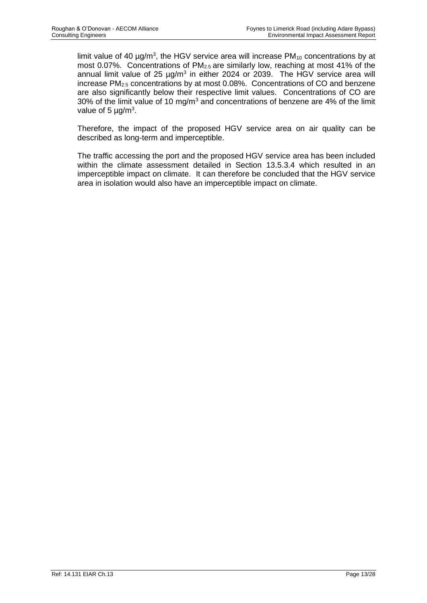limit value of 40  $\mu$ g/m<sup>3</sup>, the HGV service area will increase PM<sub>10</sub> concentrations by at most 0.07%. Concentrations of PM2.5 are similarly low, reaching at most 41% of the annual limit value of 25  $\mu$ g/m<sup>3</sup> in either 2024 or 2039. The HGV service area will increase PM2.5 concentrations by at most 0.08%. Concentrations of CO and benzene are also significantly below their respective limit values. Concentrations of CO are 30% of the limit value of 10 mg/m<sup>3</sup> and concentrations of benzene are 4% of the limit value of 5  $\mu$ g/m<sup>3</sup>.

Therefore, the impact of the proposed HGV service area on air quality can be described as long-term and imperceptible.

The traffic accessing the port and the proposed HGV service area has been included within the climate assessment detailed in Section 13.5.3.4 which resulted in an imperceptible impact on climate. It can therefore be concluded that the HGV service area in isolation would also have an imperceptible impact on climate.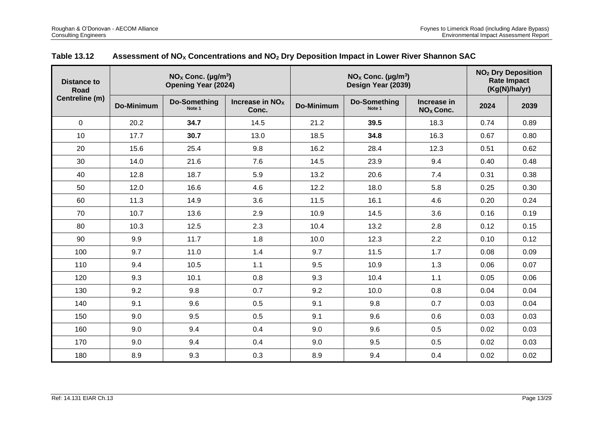| Distance to<br><b>Road</b> |                   | $NOx$ Conc. (µg/m <sup>3</sup> )<br><b>Opening Year (2024)</b> |                            | $NOX$ Conc. (µg/m <sup>3</sup> )<br>Design Year (2039) |                               |                                      | <b>NO<sub>2</sub></b> Dry Deposition<br><b>Rate Impact</b><br>(Kg(N)/halyr) |      |
|----------------------------|-------------------|----------------------------------------------------------------|----------------------------|--------------------------------------------------------|-------------------------------|--------------------------------------|-----------------------------------------------------------------------------|------|
| Centreline (m)             | <b>Do-Minimum</b> | <b>Do-Something</b><br>Note 1                                  | Increase in $NOx$<br>Conc. | <b>Do-Minimum</b>                                      | <b>Do-Something</b><br>Note 1 | Increase in<br>NO <sub>x</sub> Conc. | 2024                                                                        | 2039 |
| $\Omega$                   | 20.2              | 34.7                                                           | 14.5                       | 21.2                                                   | 39.5                          | 18.3                                 | 0.74                                                                        | 0.89 |
| 10                         | 17.7              | 30.7                                                           | 13.0                       | 18.5                                                   | 34.8                          | 16.3                                 | 0.67                                                                        | 0.80 |
| 20                         | 15.6              | 25.4                                                           | 9.8                        | 16.2                                                   | 28.4                          | 12.3                                 | 0.51                                                                        | 0.62 |
| 30                         | 14.0              | 21.6                                                           | 7.6                        | 14.5                                                   | 23.9                          | 9.4                                  | 0.40                                                                        | 0.48 |
| 40                         | 12.8              | 18.7                                                           | 5.9                        | 13.2                                                   | 20.6                          | 7.4                                  | 0.31                                                                        | 0.38 |
| 50                         | 12.0              | 16.6                                                           | 4.6                        | 12.2                                                   | 18.0                          | 5.8                                  | 0.25                                                                        | 0.30 |
| 60                         | 11.3              | 14.9                                                           | 3.6                        | 11.5                                                   | 16.1                          | 4.6                                  | 0.20                                                                        | 0.24 |
| 70                         | 10.7              | 13.6                                                           | 2.9                        | 10.9                                                   | 14.5                          | 3.6                                  | 0.16                                                                        | 0.19 |
| 80                         | 10.3              | 12.5                                                           | 2.3                        | 10.4                                                   | 13.2                          | 2.8                                  | 0.12                                                                        | 0.15 |
| 90                         | 9.9               | 11.7                                                           | 1.8                        | 10.0                                                   | 12.3                          | 2.2                                  | 0.10                                                                        | 0.12 |
| 100                        | 9.7               | 11.0                                                           | 1.4                        | 9.7                                                    | 11.5                          | 1.7                                  | 0.08                                                                        | 0.09 |
| 110                        | 9.4               | 10.5                                                           | 1.1                        | 9.5                                                    | 10.9                          | 1.3                                  | 0.06                                                                        | 0.07 |
| 120                        | 9.3               | 10.1                                                           | 0.8                        | 9.3                                                    | 10.4                          | 1.1                                  | 0.05                                                                        | 0.06 |
| 130                        | 9.2               | 9.8                                                            | 0.7                        | 9.2                                                    | 10.0                          | 0.8                                  | 0.04                                                                        | 0.04 |
| 140                        | 9.1               | 9.6                                                            | 0.5                        | 9.1                                                    | 9.8                           | 0.7                                  | 0.03                                                                        | 0.04 |
| 150                        | 9.0               | 9.5                                                            | 0.5                        | 9.1                                                    | 9.6                           | 0.6                                  | 0.03                                                                        | 0.03 |
| 160                        | 9.0               | 9.4                                                            | 0.4                        | 9.0                                                    | 9.6                           | 0.5                                  | 0.02                                                                        | 0.03 |
| 170                        | 9.0               | 9.4                                                            | 0.4                        | 9.0                                                    | 9.5                           | 0.5                                  | 0.02                                                                        | 0.03 |
| 180                        | 8.9               | 9.3                                                            | 0.3                        | 8.9                                                    | 9.4                           | 0.4                                  | 0.02                                                                        | 0.02 |

# **Table 13.12 Assessment of NO<sup>X</sup> Concentrations and NO<sup>2</sup> Dry Deposition Impact in Lower River Shannon SAC**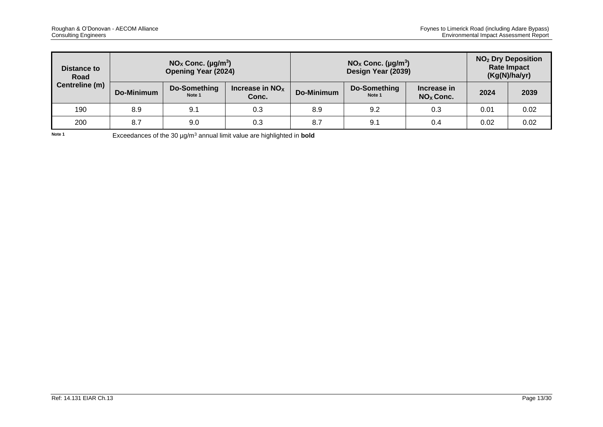| Distance to<br>Road |            | $NOx$ Conc. (µg/m <sup>3</sup> )<br><b>Opening Year (2024)</b> |                            |            | $NOx$ Conc. (µg/m <sup>3</sup> )<br>Design Year (2039) | <b>NO<sub>2</sub></b> Dry Deposition<br><b>Rate Impact</b><br>(Kg(N)/ha/yr) |      |      |
|---------------------|------------|----------------------------------------------------------------|----------------------------|------------|--------------------------------------------------------|-----------------------------------------------------------------------------|------|------|
| Centreline (m)      | Do-Minimum | Do-Something<br>Note 1                                         | Increase in $NOx$<br>Conc. | Do-Minimum | Do-Something<br>Note 1                                 | Increase in<br>$NOX$ Conc.                                                  | 2024 | 2039 |
| 190                 | 8.9        | 9.1                                                            | 0.3                        | 8.9        | 9.2                                                    | 0.3                                                                         | 0.01 | 0.02 |
| 200                 | 8.7        | 9.0                                                            | 0.3                        | 8.7        | 9.1                                                    | 0.4                                                                         | 0.02 | 0.02 |

Note 1 **Exceedances of the 30 µg/m<sup>3</sup> annual limit value are highlighted in <b>bold**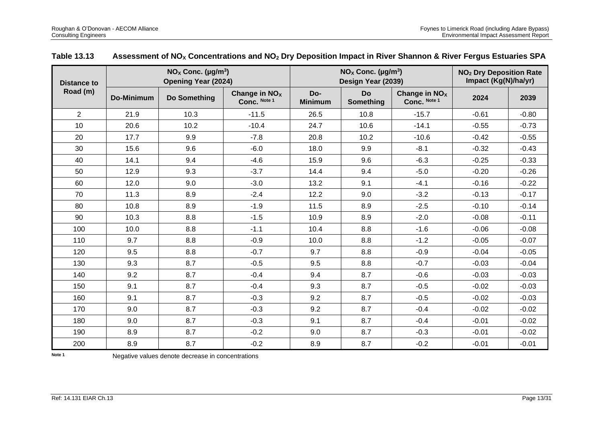| <b>Distance to</b> |                   | $NOx$ Conc. (µg/m <sup>3</sup> )<br><b>Opening Year (2024)</b> |                                 |                       | $NOX$ Conc. (µg/m <sup>3</sup> )<br>Design Year (2039) |                                           | <b>NO<sub>2</sub></b> Dry Deposition Rate<br>Impact (Kg(N)/ha/yr) |         |  |
|--------------------|-------------------|----------------------------------------------------------------|---------------------------------|-----------------------|--------------------------------------------------------|-------------------------------------------|-------------------------------------------------------------------|---------|--|
| Road (m)           | <b>Do-Minimum</b> | Do Something                                                   | Change in $NOx$<br>Conc. Note 1 | Do-<br><b>Minimum</b> | <b>Do</b><br>Something                                 | Change in NO <sub>x</sub><br>Conc. Note 1 | 2024                                                              | 2039    |  |
| $\overline{2}$     | 21.9              | 10.3                                                           | $-11.5$                         | 26.5                  | 10.8                                                   | $-15.7$                                   | $-0.61$                                                           | $-0.80$ |  |
| 10                 | 20.6              | 10.2                                                           | $-10.4$                         | 24.7                  | 10.6                                                   | $-14.1$                                   | $-0.55$                                                           | $-0.73$ |  |
| 20                 | 17.7              | 9.9                                                            | $-7.8$                          | 20.8                  | 10.2                                                   | $-10.6$                                   | $-0.42$                                                           | $-0.55$ |  |
| 30                 | 15.6              | 9.6                                                            | $-6.0$                          | 18.0                  | 9.9                                                    | $-8.1$                                    | $-0.32$                                                           | $-0.43$ |  |
| 40                 | 14.1              | 9.4                                                            | $-4.6$                          | 15.9                  | 9.6                                                    | $-6.3$                                    | $-0.25$                                                           | $-0.33$ |  |
| 50                 | 12.9              | 9.3                                                            | $-3.7$                          | 14.4                  | 9.4                                                    | $-5.0$                                    | $-0.20$                                                           | $-0.26$ |  |
| 60                 | 12.0              | 9.0                                                            | $-3.0$                          | 13.2                  | 9.1                                                    | $-4.1$                                    | $-0.16$                                                           | $-0.22$ |  |
| 70                 | 11.3              | 8.9                                                            | $-2.4$                          | 12.2                  | 9.0                                                    | $-3.2$                                    | $-0.13$                                                           | $-0.17$ |  |
| 80                 | 10.8              | 8.9                                                            | $-1.9$                          | 11.5                  | 8.9                                                    | $-2.5$                                    | $-0.10$                                                           | $-0.14$ |  |
| 90                 | 10.3              | 8.8                                                            | $-1.5$                          | 10.9                  | 8.9                                                    | $-2.0$                                    | $-0.08$                                                           | $-0.11$ |  |
| 100                | 10.0              | 8.8                                                            | $-1.1$                          | 10.4                  | 8.8                                                    | $-1.6$                                    | $-0.06$                                                           | $-0.08$ |  |
| 110                | 9.7               | 8.8                                                            | $-0.9$                          | 10.0                  | 8.8                                                    | $-1.2$                                    | $-0.05$                                                           | $-0.07$ |  |
| 120                | 9.5               | 8.8                                                            | $-0.7$                          | 9.7                   | 8.8                                                    | $-0.9$                                    | $-0.04$                                                           | $-0.05$ |  |
| 130                | 9.3               | 8.7                                                            | $-0.5$                          | 9.5                   | 8.8                                                    | $-0.7$                                    | $-0.03$                                                           | $-0.04$ |  |
| 140                | 9.2               | 8.7                                                            | $-0.4$                          | 9.4                   | 8.7                                                    | $-0.6$                                    | $-0.03$                                                           | $-0.03$ |  |
| 150                | 9.1               | 8.7                                                            | $-0.4$                          | 9.3                   | 8.7                                                    | $-0.5$                                    | $-0.02$                                                           | $-0.03$ |  |
| 160                | 9.1               | 8.7                                                            | $-0.3$                          | 9.2                   | 8.7                                                    | $-0.5$                                    | $-0.02$                                                           | $-0.03$ |  |
| 170                | 9.0               | 8.7                                                            | $-0.3$                          | 9.2                   | 8.7                                                    | $-0.4$                                    | $-0.02$                                                           | $-0.02$ |  |
| 180                | 9.0               | 8.7                                                            | $-0.3$                          | 9.1                   | 8.7                                                    | $-0.4$                                    | $-0.01$                                                           | $-0.02$ |  |
| 190                | 8.9               | 8.7                                                            | $-0.2$                          | 9.0                   | 8.7                                                    | $-0.3$                                    | $-0.01$                                                           | $-0.02$ |  |
| 200                | 8.9               | 8.7                                                            | $-0.2$                          | 8.9                   | 8.7                                                    | $-0.2$                                    | $-0.01$                                                           | $-0.01$ |  |

# **Table 13.13 Assessment of NO<sup>X</sup> Concentrations and NO<sup>2</sup> Dry Deposition Impact in River Shannon & River Fergus Estuaries SPA**

**Note 1** Negative values denote decrease in concentrations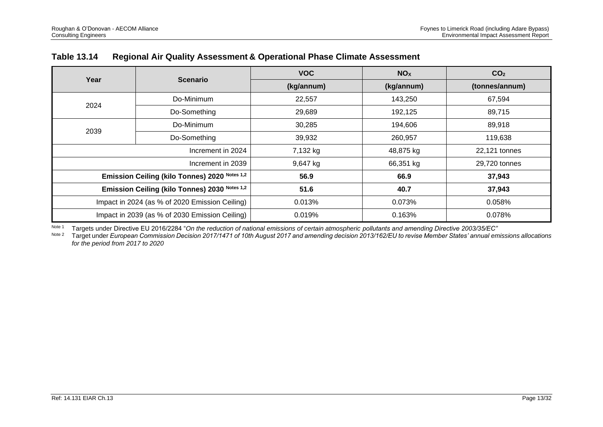| Year                                           | <b>Scenario</b>                                | <b>VOC</b> | NO <sub>X</sub> | CO <sub>2</sub> |  |
|------------------------------------------------|------------------------------------------------|------------|-----------------|-----------------|--|
|                                                |                                                | (kg/annum) | (kg/annum)      | (tonnes/annum)  |  |
|                                                | Do-Minimum                                     | 22,557     | 143,250         | 67,594          |  |
| 2024                                           | Do-Something                                   | 29,689     | 192,125         | 89,715          |  |
|                                                | Do-Minimum                                     | 30,285     | 194,606         | 89,918          |  |
| 2039                                           | Do-Something                                   | 39,932     | 260,957         | 119,638         |  |
|                                                | Increment in 2024                              | 7,132 kg   | 48,875 kg       | 22,121 tonnes   |  |
|                                                | Increment in 2039                              | 9,647 kg   | 66,351 kg       | 29,720 tonnes   |  |
|                                                | Emission Ceiling (kilo Tonnes) 2020 Notes 1,2  | 56.9       | 66.9            | 37,943          |  |
| Emission Ceiling (kilo Tonnes) 2030 Notes 1,2  |                                                | 51.6       | 40.7            | 37,943          |  |
|                                                | Impact in 2024 (as % of 2020 Emission Ceiling) | 0.013%     | 0.073%          | 0.058%          |  |
| Impact in 2039 (as % of 2030 Emission Ceiling) |                                                | 0.019%     | 0.163%          | 0.078%          |  |

# **Table 13.14 Regional Air Quality Assessment & Operational Phase Climate Assessment**

Note 1 Targets under Directive EU 2016/2284 "On the reduction of national emissions of certain atmospheric pollutants and amending Directive 2003/35/EC"<br>Note 2 Target under European Commission Decision 2017/1471 of 10th Au

Note 2 Target under *European Commission Decision 2017/1471 of 10th August 2017 and amending decision 2013/162/EU to revise Member States' annual emissions allocations for the period from 2017 to 2020*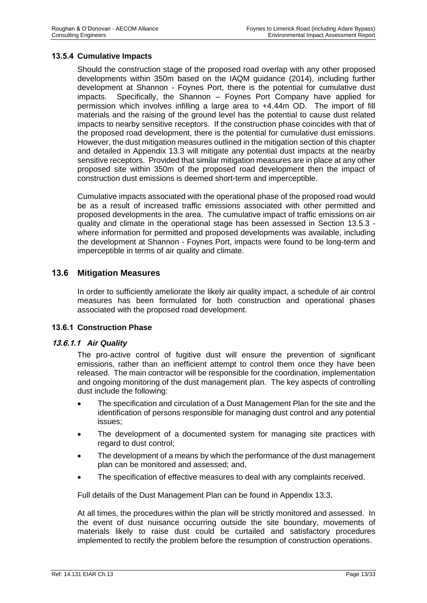#### **13.5.4 Cumulative Impacts**

Should the construction stage of the proposed road overlap with any other proposed developments within 350m based on the IAQM guidance (2014), including further development at Shannon - Foynes Port, there is the potential for cumulative dust impacts. Specifically, the Shannon – Foynes Port Company have applied for permission which involves infilling a large area to +4.44m OD. The import of fill materials and the raising of the ground level has the potential to cause dust related impacts to nearby sensitive receptors. If the construction phase coincides with that of the proposed road development, there is the potential for cumulative dust emissions. However, the dust mitigation measures outlined in the mitigation section of this chapter and detailed in Appendix 13.3 will mitigate any potential dust impacts at the nearby sensitive receptors. Provided that similar mitigation measures are in place at any other proposed site within 350m of the proposed road development then the impact of construction dust emissions is deemed short-term and imperceptible.

Cumulative impacts associated with the operational phase of the proposed road would be as a result of increased traffic emissions associated with other permitted and proposed developments in the area. The cumulative impact of traffic emissions on air quality and climate in the operational stage has been assessed in Section 13.5.3 where information for permitted and proposed developments was available, including the development at Shannon - Foynes Port, impacts were found to be long-term and imperceptible in terms of air quality and climate.

# **13.6 Mitigation Measures**

In order to sufficiently ameliorate the likely air quality impact, a schedule of air control measures has been formulated for both construction and operational phases associated with the proposed road development.

#### **13.6.1 Construction Phase**

#### **13.6.1.1** *Air Quality*

The pro-active control of fugitive dust will ensure the prevention of significant emissions, rather than an inefficient attempt to control them once they have been released. The main contractor will be responsible for the coordination, implementation and ongoing monitoring of the dust management plan. The key aspects of controlling dust include the following:

- The specification and circulation of a Dust Management Plan for the site and the identification of persons responsible for managing dust control and any potential issues;
- The development of a documented system for managing site practices with regard to dust control;
- The development of a means by which the performance of the dust management plan can be monitored and assessed; and,
- The specification of effective measures to deal with any complaints received.

Full details of the Dust Management Plan can be found in Appendix 13.3.

At all times, the procedures within the plan will be strictly monitored and assessed. In the event of dust nuisance occurring outside the site boundary, movements of materials likely to raise dust could be curtailed and satisfactory procedures implemented to rectify the problem before the resumption of construction operations.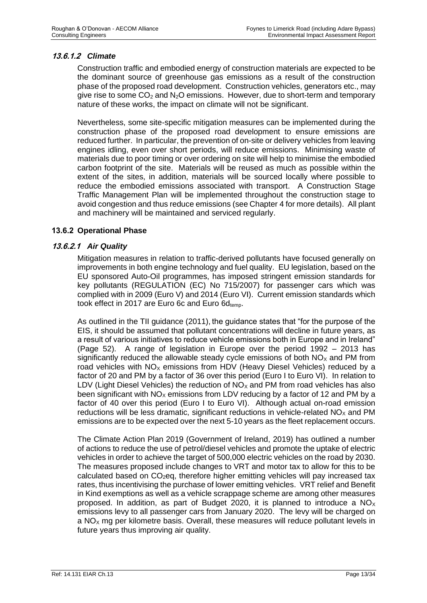# **13.6.1.2** *Climate*

Construction traffic and embodied energy of construction materials are expected to be the dominant source of greenhouse gas emissions as a result of the construction phase of the proposed road development. Construction vehicles, generators etc., may give rise to some  $CO<sub>2</sub>$  and  $N<sub>2</sub>O$  emissions. However, due to short-term and temporary nature of these works, the impact on climate will not be significant.

Nevertheless, some site-specific mitigation measures can be implemented during the construction phase of the proposed road development to ensure emissions are reduced further. In particular, the prevention of on-site or delivery vehicles from leaving engines idling, even over short periods, will reduce emissions. Minimising waste of materials due to poor timing or over ordering on site will help to minimise the embodied carbon footprint of the site. Materials will be reused as much as possible within the extent of the sites, in addition, materials will be sourced locally where possible to reduce the embodied emissions associated with transport. A Construction Stage Traffic Management Plan will be implemented throughout the construction stage to avoid congestion and thus reduce emissions (see Chapter 4 for more details). All plant and machinery will be maintained and serviced regularly.

# **13.6.2 Operational Phase**

#### **13.6.2.1** *Air Quality*

Mitigation measures in relation to traffic-derived pollutants have focused generally on improvements in both engine technology and fuel quality. EU legislation, based on the EU sponsored Auto-Oil programmes, has imposed stringent emission standards for key pollutants (REGULATION (EC) No 715/2007) for passenger cars which was complied with in 2009 (Euro V) and 2014 (Euro VI). Current emission standards which took effect in 2017 are Euro 6c and Euro  $6d_{temp}$ .

As outlined in the TII guidance (2011), the guidance states that "for the purpose of the EIS, it should be assumed that pollutant concentrations will decline in future years, as a result of various initiatives to reduce vehicle emissions both in Europe and in Ireland" (Page 52). A range of legislation in Europe over the period 1992 – 2013 has significantly reduced the allowable steady cycle emissions of both  $NO<sub>x</sub>$  and PM from road vehicles with  $NO<sub>x</sub>$  emissions from HDV (Heavy Diesel Vehicles) reduced by a factor of 20 and PM by a factor of 36 over this period (Euro I to Euro VI). In relation to LDV (Light Diesel Vehicles) the reduction of  $NO<sub>x</sub>$  and PM from road vehicles has also been significant with  $NO<sub>x</sub>$  emissions from LDV reducing by a factor of 12 and PM by a factor of 40 over this period (Euro I to Euro VI). Although actual on-road emission reductions will be less dramatic, significant reductions in vehicle-related  $NO<sub>X</sub>$  and PM emissions are to be expected over the next 5-10 years as the fleet replacement occurs.

The Climate Action Plan 2019 (Government of Ireland, 2019) has outlined a number of actions to reduce the use of petrol/diesel vehicles and promote the uptake of electric vehicles in order to achieve the target of 500,000 electric vehicles on the road by 2030. The measures proposed include changes to VRT and motor tax to allow for this to be calculated based on  $CO<sub>2</sub>$ eq, therefore higher emitting vehicles will pay increased tax rates, thus incentivising the purchase of lower emitting vehicles. VRT relief and Benefit in Kind exemptions as well as a vehicle scrappage scheme are among other measures proposed. In addition, as part of Budget 2020, it is planned to introduce a  $NO<sub>X</sub>$ emissions levy to all passenger cars from January 2020. The levy will be charged on a  $NO<sub>x</sub>$  mg per kilometre basis. Overall, these measures will reduce pollutant levels in future years thus improving air quality.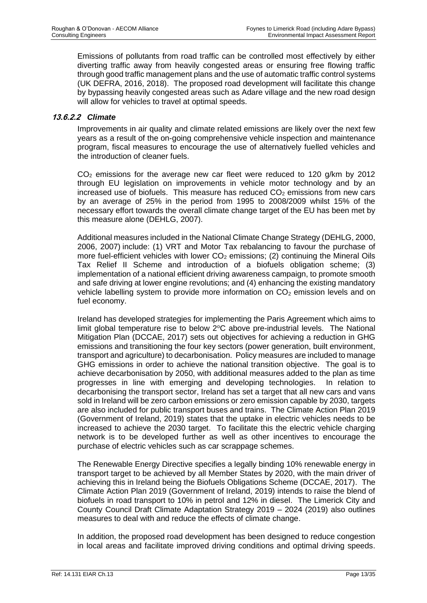Emissions of pollutants from road traffic can be controlled most effectively by either diverting traffic away from heavily congested areas or ensuring free flowing traffic through good traffic management plans and the use of automatic traffic control systems (UK DEFRA, 2016, 2018). The proposed road development will facilitate this change by bypassing heavily congested areas such as Adare village and the new road design will allow for vehicles to travel at optimal speeds.

# **13.6.2.2** *Climate*

Improvements in air quality and climate related emissions are likely over the next few years as a result of the on-going comprehensive vehicle inspection and maintenance program, fiscal measures to encourage the use of alternatively fuelled vehicles and the introduction of cleaner fuels.

 $CO<sub>2</sub>$  emissions for the average new car fleet were reduced to 120 g/km by 2012 through EU legislation on improvements in vehicle motor technology and by an increased use of biofuels. This measure has reduced  $CO<sub>2</sub>$  emissions from new cars by an average of 25% in the period from 1995 to 2008/2009 whilst 15% of the necessary effort towards the overall climate change target of the EU has been met by this measure alone (DEHLG, 2007).

Additional measures included in the National Climate Change Strategy (DEHLG, 2000, 2006, 2007) include: (1) VRT and Motor Tax rebalancing to favour the purchase of more fuel-efficient vehicles with lower  $CO<sub>2</sub>$  emissions; (2) continuing the Mineral Oils Tax Relief II Scheme and introduction of a biofuels obligation scheme; (3) implementation of a national efficient driving awareness campaign, to promote smooth and safe driving at lower engine revolutions; and (4) enhancing the existing mandatory vehicle labelling system to provide more information on  $CO<sub>2</sub>$  emission levels and on fuel economy.

Ireland has developed strategies for implementing the Paris Agreement which aims to limit global temperature rise to below  $2^{\circ}$ C above pre-industrial levels. The National Mitigation Plan (DCCAE, 2017) sets out objectives for achieving a reduction in GHG emissions and transitioning the four key sectors (power generation, built environment, transport and agriculture) to decarbonisation. Policy measures are included to manage GHG emissions in order to achieve the national transition objective. The goal is to achieve decarbonisation by 2050, with additional measures added to the plan as time progresses in line with emerging and developing technologies. In relation to decarbonising the transport sector, Ireland has set a target that all new cars and vans sold in Ireland will be zero carbon emissions or zero emission capable by 2030, targets are also included for public transport buses and trains. The Climate Action Plan 2019 (Government of Ireland, 2019) states that the uptake in electric vehicles needs to be increased to achieve the 2030 target. To facilitate this the electric vehicle charging network is to be developed further as well as other incentives to encourage the purchase of electric vehicles such as car scrappage schemes.

The Renewable Energy Directive specifies a legally binding 10% renewable energy in transport target to be achieved by all Member States by 2020, with the main driver of achieving this in Ireland being the Biofuels Obligations Scheme (DCCAE, 2017). The Climate Action Plan 2019 (Government of Ireland, 2019) intends to raise the blend of biofuels in road transport to 10% in petrol and 12% in diesel. The Limerick City and County Council Draft Climate Adaptation Strategy 2019 – 2024 (2019) also outlines measures to deal with and reduce the effects of climate change.

In addition, the proposed road development has been designed to reduce congestion in local areas and facilitate improved driving conditions and optimal driving speeds.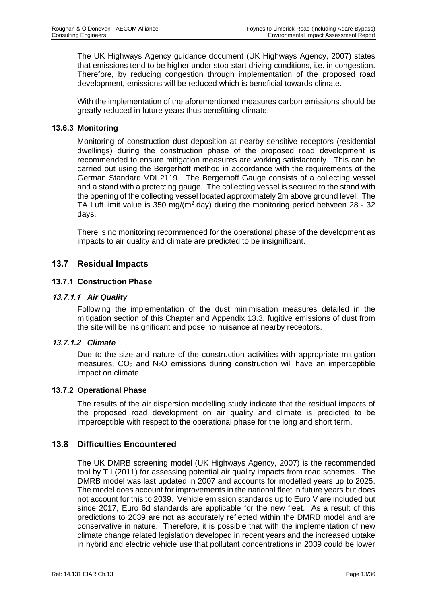The UK Highways Agency guidance document (UK Highways Agency, 2007) states that emissions tend to be higher under stop-start driving conditions, i.e. in congestion. Therefore, by reducing congestion through implementation of the proposed road development, emissions will be reduced which is beneficial towards climate.

With the implementation of the aforementioned measures carbon emissions should be greatly reduced in future years thus benefitting climate.

# **13.6.3 Monitoring**

Monitoring of construction dust deposition at nearby sensitive receptors (residential dwellings) during the construction phase of the proposed road development is recommended to ensure mitigation measures are working satisfactorily. This can be carried out using the Bergerhoff method in accordance with the requirements of the German Standard VDI 2119. The Bergerhoff Gauge consists of a collecting vessel and a stand with a protecting gauge. The collecting vessel is secured to the stand with the opening of the collecting vessel located approximately 2m above ground level. The TA Luft limit value is 350 mg/( $m^2$ .day) during the monitoring period between 28 - 32 days.

There is no monitoring recommended for the operational phase of the development as impacts to air quality and climate are predicted to be insignificant.

# **13.7 Residual Impacts**

#### **13.7.1 Construction Phase**

#### **13.7.1.1** *Air Quality*

Following the implementation of the dust minimisation measures detailed in the mitigation section of this Chapter and Appendix 13.3, fugitive emissions of dust from the site will be insignificant and pose no nuisance at nearby receptors.

#### **13.7.1.2** *Climate*

Due to the size and nature of the construction activities with appropriate mitigation measures,  $CO<sub>2</sub>$  and  $N<sub>2</sub>O$  emissions during construction will have an imperceptible impact on climate.

#### **13.7.2 Operational Phase**

The results of the air dispersion modelling study indicate that the residual impacts of the proposed road development on air quality and climate is predicted to be imperceptible with respect to the operational phase for the long and short term.

#### **13.8 Difficulties Encountered**

The UK DMRB screening model (UK Highways Agency, 2007) is the recommended tool by TII (2011) for assessing potential air quality impacts from road schemes. The DMRB model was last updated in 2007 and accounts for modelled years up to 2025. The model does account for improvements in the national fleet in future years but does not account for this to 2039. Vehicle emission standards up to Euro V are included but since 2017, Euro 6d standards are applicable for the new fleet. As a result of this predictions to 2039 are not as accurately reflected within the DMRB model and are conservative in nature. Therefore, it is possible that with the implementation of new climate change related legislation developed in recent years and the increased uptake in hybrid and electric vehicle use that pollutant concentrations in 2039 could be lower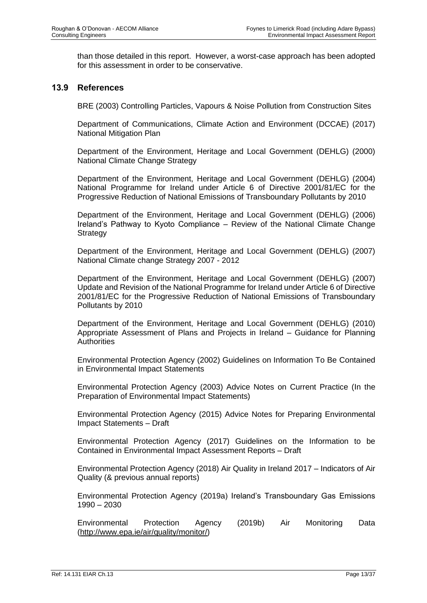than those detailed in this report. However, a worst-case approach has been adopted for this assessment in order to be conservative.

#### **13.9 References**

BRE (2003) Controlling Particles, Vapours & Noise Pollution from Construction Sites

Department of Communications, Climate Action and Environment (DCCAE) (2017) National Mitigation Plan

Department of the Environment, Heritage and Local Government (DEHLG) (2000) National Climate Change Strategy

Department of the Environment, Heritage and Local Government (DEHLG) (2004) National Programme for Ireland under Article 6 of Directive 2001/81/EC for the Progressive Reduction of National Emissions of Transboundary Pollutants by 2010

Department of the Environment, Heritage and Local Government (DEHLG) (2006) Ireland's Pathway to Kyoto Compliance – Review of the National Climate Change **Strategy** 

Department of the Environment, Heritage and Local Government (DEHLG) (2007) National Climate change Strategy 2007 - 2012

Department of the Environment, Heritage and Local Government (DEHLG) (2007) Update and Revision of the National Programme for Ireland under Article 6 of Directive 2001/81/EC for the Progressive Reduction of National Emissions of Transboundary Pollutants by 2010

Department of the Environment, Heritage and Local Government (DEHLG) (2010) Appropriate Assessment of Plans and Projects in Ireland – Guidance for Planning **Authorities** 

Environmental Protection Agency (2002) Guidelines on Information To Be Contained in Environmental Impact Statements

Environmental Protection Agency (2003) Advice Notes on Current Practice (In the Preparation of Environmental Impact Statements)

Environmental Protection Agency (2015) Advice Notes for Preparing Environmental Impact Statements – Draft

Environmental Protection Agency (2017) Guidelines on the Information to be Contained in Environmental Impact Assessment Reports – Draft

Environmental Protection Agency (2018) Air Quality in Ireland 2017 – Indicators of Air Quality (& previous annual reports)

Environmental Protection Agency (2019a) Ireland's Transboundary Gas Emissions 1990 – 2030

Environmental Protection Agency (2019b) Air Monitoring Data [\(http://www.epa.ie/air/quality/monitor/\)](http://www.epa.ie/air/quality/monitor/)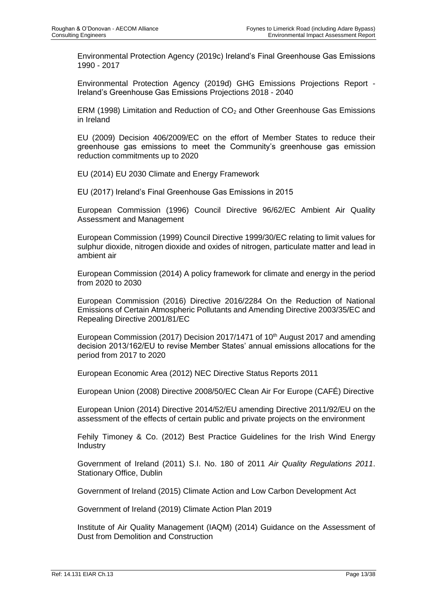Environmental Protection Agency (2019c) Ireland's Final Greenhouse Gas Emissions 1990 - 2017

Environmental Protection Agency (2019d) GHG Emissions Projections Report - Ireland's Greenhouse Gas Emissions Projections 2018 - 2040

ERM (1998) Limitation and Reduction of CO<sub>2</sub> and Other Greenhouse Gas Emissions in Ireland

EU (2009) Decision 406/2009/EC on the effort of Member States to reduce their greenhouse gas emissions to meet the Community's greenhouse gas emission reduction commitments up to 2020

EU (2014) EU 2030 Climate and Energy Framework

EU (2017) Ireland's Final Greenhouse Gas Emissions in 2015

European Commission (1996) Council Directive 96/62/EC Ambient Air Quality Assessment and Management

European Commission (1999) Council Directive 1999/30/EC relating to limit values for sulphur dioxide, nitrogen dioxide and oxides of nitrogen, particulate matter and lead in ambient air

European Commission (2014) A policy framework for climate and energy in the period from 2020 to 2030

European Commission (2016) Directive 2016/2284 On the Reduction of National Emissions of Certain Atmospheric Pollutants and Amending Directive 2003/35/EC and Repealing Directive 2001/81/EC

European Commission (2017) Decision 2017/1471 of 10<sup>th</sup> August 2017 and amending decision 2013/162/EU to revise Member States' annual emissions allocations for the period from 2017 to 2020

European Economic Area (2012) NEC Directive Status Reports 2011

European Union (2008) Directive 2008/50/EC Clean Air For Europe (CAFÉ) Directive

European Union (2014) Directive 2014/52/EU amending Directive 2011/92/EU on the assessment of the effects of certain public and private projects on the environment

Fehily Timoney & Co. (2012) Best Practice Guidelines for the Irish Wind Energy Industry

Government of Ireland (2011) S.I. No. 180 of 2011 *Air Quality Regulations 2011*. Stationary Office, Dublin

Government of Ireland (2015) Climate Action and Low Carbon Development Act

Government of Ireland (2019) Climate Action Plan 2019

Institute of Air Quality Management (IAQM) (2014) Guidance on the Assessment of Dust from Demolition and Construction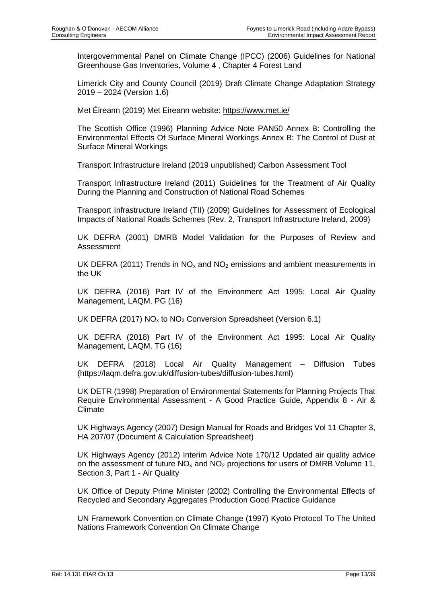Intergovernmental Panel on Climate Change (IPCC) (2006) Guidelines for National Greenhouse Gas Inventories, Volume 4 , Chapter 4 Forest Land

Limerick City and County Council (2019) Draft Climate Change Adaptation Strategy 2019 – 2024 (Version 1.6)

Met Éireann (2019) Met Eireann website:<https://www.met.ie/>

The Scottish Office (1996) Planning Advice Note PAN50 Annex B: Controlling the Environmental Effects Of Surface Mineral Workings Annex B: The Control of Dust at Surface Mineral Workings

Transport Infrastructure Ireland (2019 unpublished) Carbon Assessment Tool

Transport Infrastructure Ireland (2011) Guidelines for the Treatment of Air Quality During the Planning and Construction of National Road Schemes

Transport Infrastructure Ireland (TII) (2009) Guidelines for Assessment of Ecological Impacts of National Roads Schemes (Rev. 2, Transport Infrastructure Ireland, 2009)

UK DEFRA (2001) DMRB Model Validation for the Purposes of Review and Assessment

UK DEFRA (2011) Trends in  $NO<sub>x</sub>$  and  $NO<sub>2</sub>$  emissions and ambient measurements in the UK

UK DEFRA (2016) Part IV of the Environment Act 1995: Local Air Quality Management, LAQM. PG (16)

UK DEFRA (2017)  $NO_x$  to  $NO_2$  Conversion Spreadsheet (Version 6.1)

UK DEFRA (2018) Part IV of the Environment Act 1995: Local Air Quality Management, LAQM. TG (16)

UK DEFRA (2018) Local Air Quality Management – Diffusion Tubes (https://laqm.defra.gov.uk/diffusion-tubes/diffusion-tubes.html)

UK DETR (1998) Preparation of Environmental Statements for Planning Projects That Require Environmental Assessment - A Good Practice Guide, Appendix 8 - Air & Climate

UK Highways Agency (2007) Design Manual for Roads and Bridges Vol 11 Chapter 3, HA 207/07 (Document & Calculation Spreadsheet)

UK Highways Agency (2012) Interim Advice Note 170/12 Updated air quality advice on the assessment of future  $NO<sub>x</sub>$  and  $NO<sub>2</sub>$  projections for users of DMRB Volume 11, Section 3, Part 1 - Air Quality

UK Office of Deputy Prime Minister (2002) Controlling the Environmental Effects of Recycled and Secondary Aggregates Production Good Practice Guidance

UN Framework Convention on Climate Change (1997) Kyoto Protocol To The United Nations Framework Convention On Climate Change